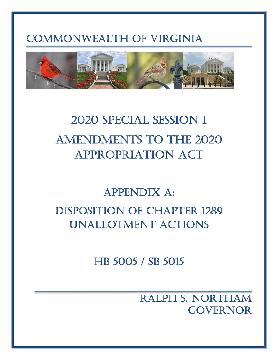## COMMONWEALTH OF VIRGINIA



# 2020 SPECIAL SESSION I AMENDMENTS TO THE 2020 APPROPRIATION ACT

## APPENDIX A: DISPOSITION OF CHAPTER 1289 UNALLOTMENT ACTIONS

HB 5005 / SB 5015

RALPH S. NORTHAM GOVERNOR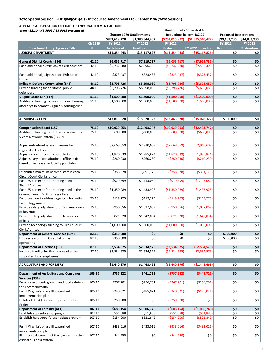| Item 482.20 - HB 5005 / SB 5015 Introduced                                                     |                | <b>Unallotments Converted To</b> |                                  |                                  |                                  |                              |                    |  |  |  |
|------------------------------------------------------------------------------------------------|----------------|----------------------------------|----------------------------------|----------------------------------|----------------------------------|------------------------------|--------------------|--|--|--|
|                                                                                                |                |                                  | <b>Chapter 1289 Unallotments</b> |                                  | Reductions in Item 482.20        | <b>Proposed Restorations</b> |                    |  |  |  |
|                                                                                                |                | \$853,619,228                    | \$1,380,344,407                  | (\$754,015,992)                  | ( \$1,335,540,477)               | \$99,603,236                 | \$44,803,930       |  |  |  |
|                                                                                                | Ch 1289        | FY 2021                          | <b>FY 2022</b>                   | <b>FY 2021</b>                   |                                  | FY 2021                      | <b>FY 2022</b>     |  |  |  |
| Secretarial Area / Agency / Title                                                              | <b>Item</b>    | <b>Unallotment</b>               | <b>Unallotment</b>               | <b>Reduction</b>                 | FY 2022 Reduction                | <b>Restoration</b>           | <b>Restoration</b> |  |  |  |
| JUDICIAL DEPARTMENT                                                                            |                | \$11,354,443                     | \$15,117,826                     | (\$11,354,443)                   | ( \$15, 117, 826]                | \$0                          | \$0                |  |  |  |
| <b>General District Courts (114)</b>                                                           | 42.10          | \$6,055,717                      | \$7,919,737                      | (56,055,717)                     | (57, 919, 737)                   | \$0                          | \$0                |  |  |  |
| Fund additional district court clerk positions                                                 | 42.10          | \$5,732,280                      | \$7,596,300                      | (55, 732, 280)                   | (57,596,300)                     | \$0                          | \$0                |  |  |  |
| Fund additional judgeship for 19th Judicial<br>District                                        | 42.10          | \$323,437                        | \$323,437                        | (5323, 437)                      | ( \$323, 437)                    | \$0                          | \$0                |  |  |  |
| Indigent Defense Commission (848)                                                              | 48.10          | \$3,798,726                      | \$5,698,089                      | ( \$3,798,726)                   | ( \$5,698,089)                   | \$0                          | \$0                |  |  |  |
| Provide funding for additional public                                                          | 48.10          | \$3,798,726                      | \$5,698,089                      | ( \$3,798,726)                   | ( \$5,698,089)                   | \$0                          | \$0                |  |  |  |
| defenders                                                                                      |                |                                  |                                  |                                  |                                  |                              |                    |  |  |  |
| Virginia State Bar (117)                                                                       | 51.10          | \$1,500,000                      | \$1,500,000                      | (\$1,500,000)                    | (\$1,500,000)                    | \$0                          | \$0                |  |  |  |
| Additional funding to hire additional housing<br>attorneys to combat Virginia's housing crisis | 51.10          | \$1,500,000                      | \$1,500,000                      | ( \$1,500,000)                   | ( \$1,500,000)                   | \$0                          | \$0                |  |  |  |
| <b>ADMINISTRATION</b>                                                                          |                | \$13,813,628                     | \$15,028,322                     | ( \$13,463,628]                  | ( \$15,028,322]                  | \$350,000                    | \$0                |  |  |  |
|                                                                                                |                |                                  |                                  |                                  |                                  |                              |                    |  |  |  |
| <b>Compensation Board (157)</b>                                                                | 75.10          | \$10,929,053                     | \$12,493,747                     | ( \$10,929,053]                  | (\$12,493,747)                   | \$0                          | \$0                |  |  |  |
| Additional funding for Statewide Automated<br>Victim Network System (SAVIN)                    | 75.10          | \$600,000                        | \$600,000                        | (5600,000)                       | (5600,000)                       | \$0                          | \$0                |  |  |  |
| Adjust entry-level salary increases for<br>regional jail officers                              | 75.10          | \$2,668,059                      | \$2,910,609                      | ( \$2,668,059)                   | ( \$2,910,609)                   | \$0                          | \$0                |  |  |  |
| Adjust salary for circuit court clerks                                                         | 75.10          | \$1,820,339                      | \$1,985,824                      | (\$1,820,339)                    | ( \$1,985,824)                   | \$0                          | \$0                |  |  |  |
| Adjust salary of constitutional office staff<br>based on increases in locality population      | 75.10          | \$260,230                        | \$260,230                        | ( \$260, 230)                    | ( \$260, 230)                    | \$0                          | \$0                |  |  |  |
| Establish a minimum of three staff in each<br>Circuit Court Clerk's office                     | 75.10          | \$358,578                        | \$391,176                        | ( \$358, 578)                    | ( \$391, 176)                    | \$0                          | \$0                |  |  |  |
| Fund 25 percent of the staffing need in<br>Sheriffs' offices                                   | 75.10          | \$979,399                        | \$1,113,082                      | (\$979,399)                      | ( \$1,113,082)                   | \$0                          | \$0                |  |  |  |
| Fund 25 percent of the staffing need in the<br>Commonwealth's Attorneys offices                | 75.10          | \$1,350,989                      | \$1,433,928                      | ( \$1,350,989)                   | (51, 433, 928)                   | \$0                          | \$0                |  |  |  |
| Fund position to address agency information<br>technology needs                                | 75.10          | \$119,775                        | \$119,775                        | ( \$119, 775)                    | ( \$119,775)                     | \$0                          | \$0                |  |  |  |
| Provide salary adjustment for Commissioners<br>of Revenue                                      | 75.10          | \$950,656                        | \$1,037,069                      | ( \$950, 656)                    | (\$1,037,069)                    | \$0                          | \$0                |  |  |  |
| Provide salary adjustment for Treasurers'<br>offices                                           | 75.10          | \$821,028                        | \$1,642,054                      | ( \$821, 028)                    | ( \$1,642,054)                   | \$0                          | \$0                |  |  |  |
| Provide technology funding to Circuit Court<br>Clerks' offices                                 | 75.10          | \$1,000,000                      | \$1,000,000                      | (\$1,000,000)                    | (\$1,000,000)                    | \$0                          | \$0                |  |  |  |
| <b>Department of General Services (194)</b>                                                    | 82.10          | \$350,000                        | Ş0                               | Ş0                               | Ş0                               | \$350,000                    | \$0                |  |  |  |
| DGS review of DBHDS capital outlay                                                             | 82.10          | \$350,000                        | \$0                              | \$0                              | \$0                              | \$350,000                    | \$0                |  |  |  |
| operations                                                                                     |                |                                  |                                  |                                  |                                  |                              |                    |  |  |  |
| <b>Department of Elections (132)</b><br>Increase funding for the salaries of state-            | 87.10<br>87.10 | \$2,534,575<br>\$2,534,575       | \$2,534,575<br>\$2,534,575       | ( \$2,534,575)<br>( \$2,534,575) | ( \$2,534,575)<br>( \$2,534,575) | \$0<br>\$0                   | \$0<br>\$0         |  |  |  |
| supported local employees                                                                      |                |                                  |                                  |                                  |                                  |                              |                    |  |  |  |
| <b>AGRICULTURE AND FORESTRY</b>                                                                |                | \$1,440,376                      | \$1,448,468                      | (\$1,440,376)                    | (\$1,448,468)                    | \$0                          | \$0                |  |  |  |
|                                                                                                |                |                                  |                                  |                                  |                                  |                              |                    |  |  |  |
| Department of Agriculture and Consumer<br>Services (301)                                       | 106.10         | \$757,222                        | \$441,722                        | (5757, 222)                      | (5441, 722)                      | \$0                          | \$0                |  |  |  |
| Enhance economic growth and food safety in<br>the Commonwealth                                 | 106.10         | \$267,201                        | \$256,701                        | ( \$267, 201)                    | ( \$256, 701)                    | \$0                          | \$0                |  |  |  |
| Fulfill Virginia's phase III watershed<br>implementation plan                                  | 106.10         | \$240,021                        | \$185,021                        | ( \$240,021)                     | ( \$185,021)                     | \$0                          | \$0                |  |  |  |
| Holiday Lake 4-H Center Improvements<br>Project                                                | 106.10         | \$250,000                        | \$0                              | ( \$250,000)                     | \$0                              | \$0                          | \$0                |  |  |  |
| Department of Forestry (411)                                                                   | 107.10         | \$683,154                        | \$1,006,746                      | ( \$683, 154)                    | (\$1,006,746)                    | \$0                          | \$0                |  |  |  |
| Establish apprenticeship program                                                               | 107.10         | \$51,888                         | \$51,888                         | (551,888)                        | (551,888)                        | \$0                          | \$0                |  |  |  |
| Establish hardwood forest habitat program                                                      | 107.10         | \$154,000                        | \$521,842                        | ( \$154,000)                     | (5521, 842)                      | \$0                          | \$0                |  |  |  |
| Fulfill Virginia's phase III watershed<br>implementation plan                                  | 107.10         | \$433,016                        | \$433,016                        | ( \$433,016)                     | ( \$433,016)                     | \$0                          | \$0                |  |  |  |
| Plan for replacement of the agency's mission<br>critical business system                       | 107.10         | \$44,250                         | \$0                              | ( \$44, 250)                     | \$0                              | \$0                          | \$0                |  |  |  |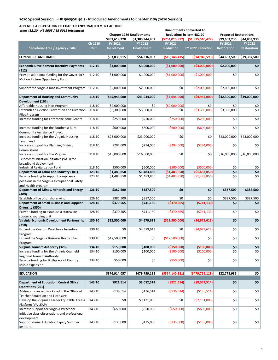| Item 482.20 - HB 5005 / SB 5015 Introduced                           |             |                    |                                  |                  | <b>Unallotments Converted To</b> |                              |                    |
|----------------------------------------------------------------------|-------------|--------------------|----------------------------------|------------------|----------------------------------|------------------------------|--------------------|
|                                                                      |             |                    | <b>Chapter 1289 Unallotments</b> |                  | Reductions in Item 482.20        | <b>Proposed Restorations</b> |                    |
|                                                                      |             | \$853,619,228      | \$1,380,344,407                  | ( \$754,015,992) | (\$1,335,540,477)                | \$99,603,236                 | \$44,803,930       |
|                                                                      | Ch 1289     | <b>FY 2021</b>     | <b>FY 2022</b>                   | FY 2021          |                                  | FY 2021                      | <b>FY 2022</b>     |
| Secretarial Area / Agency / Title                                    | <b>Item</b> | <b>Unallotment</b> | <b>Unallotment</b>               | <b>Reduction</b> | FY 2022 Reduction                | <b>Restoration</b>           | <b>Restoration</b> |
| <b>COMMERCE AND TRADE</b>                                            |             | \$63,835,915       | \$54,336,093                     | ( \$19,148,415)  | ( \$14, 948, 593)                | \$44,687,500                 | \$39,387,500       |
|                                                                      |             |                    |                                  |                  |                                  |                              |                    |
| <b>Economic Development Incentive Payments</b><br>(312)              | 112.10      | \$3,000,000        | \$3,000,000                      | (\$1,000,000)    | ( \$3,000,000]                   | \$2,000,000                  | \$0                |
| Provide additional funding for the Governor's                        | 112.10      | \$1,000,000        | \$1,000,000                      | ( \$1,000,000)   | ( \$1,000,000)                   | \$0                          | \$0                |
| Motion Picture Opportunity Fund                                      |             |                    |                                  |                  |                                  |                              |                    |
| Support the Virginia Jobs Investment Program                         | 112.10      | \$2,000,000        | \$2,000,000                      | \$0              | ( \$2,000,000)                   | \$2,000,000                  | \$0                |
| Department of Housing and Community                                  | 118.10      | \$45,944,000       | \$43,944,000                     | ( \$3,644,000)   | ( \$4,944,000]                   | \$42,300,000                 | \$39,000,000       |
| Development (165)                                                    |             |                    |                                  |                  |                                  |                              |                    |
| Affordable Housing Pilot Program                                     | 118.10      | \$2,000,000        | \$0                              | ( \$2,000,000)   | \$0                              | \$0                          | \$0                |
| Establish an Eviction Prevention and Diversion                       | 118.10      | \$3,300,000        | \$3,300,000                      | \$0              | ( \$3,300,000)                   | \$3,300,000                  | \$0                |
| Pilot Program                                                        |             |                    |                                  |                  |                                  |                              |                    |
| Increase funding for Enterprise Zone Grants                          | 118.10      | \$250,000          | \$250,000                        | ( \$250,000)     | ( \$250,000]                     | \$0                          | \$0                |
| Increase funding for the Southeast Rural                             | 118.10      | \$600,000          | \$600,000                        | ( \$600,000]     | (5600,000)                       | \$0                          | \$0                |
| <b>Community Assistance Project</b>                                  |             |                    |                                  |                  |                                  |                              |                    |
| Increase funding for the Virginia Housing<br><b>Trust Fund</b>       | 118.10      | \$23,000,000       | \$23,000,000                     | \$0              | \$0                              | \$23,000,000                 | \$23,000,000       |
| Increase support for Planning District                               | 118.10      | \$294,000          | \$294,000                        | ( \$294,000]     | ( \$294,000]                     | \$0                          | \$0                |
| Commissions<br>Increase support for the Virginia                     | 118.10      | \$16,000,000       | \$16,000,000                     | \$0              | \$0                              | \$16,000,000                 | \$16,000,000       |
| Telecommunication Initiative (VATI) for                              |             |                    |                                  |                  |                                  |                              |                    |
| broadband deployment                                                 |             |                    |                                  |                  |                                  |                              |                    |
| Industrial Revitalization Fund                                       | 118.10      | \$500,000          | \$500,000                        | ( \$500,000]     | ( \$500,000]                     | \$0                          | \$0                |
| Department of Labor and Industry (181)                               | 123.10      | \$1,483,850        | \$1,483,850                      | (51, 483, 850)   | (51, 483, 850)                   | \$0                          | \$0                |
| Provide funding to support compliance                                | 123.10      | \$1,483,850        | \$1,483,850                      | ( \$1,483,850)   | ( \$1,483,850)                   | \$0                          | \$0                |
| positions in the Virginia Occupational Safety                        |             |                    |                                  |                  |                                  |                              |                    |
| and Health program                                                   |             |                    |                                  |                  |                                  |                              |                    |
| Department of Mines, Minerals and Energy                             | 126.10      | \$387,500          | \$387,500                        | \$0              | \$0                              | \$387,500                    | \$387,500          |
| (409)                                                                |             |                    |                                  |                  |                                  |                              |                    |
| Establish office of offshore wind                                    | 126.10      | \$387,500          | \$387,500                        | \$0              | \$0                              | \$387,500                    | \$387,500          |
| Department of Small Business and Supplier                            | 128.10      | \$370,565          | \$741,130                        | ( \$370, 565)    | (5741, 130)                      | \$0                          | \$0                |
| Diversity (350)                                                      |             |                    |                                  |                  |                                  |                              |                    |
| Provide funding to establish a statewide                             | 128.10      | \$370,565          | \$741,130                        | ( \$370, 565)    | (5741, 130)                      | \$0                          | \$0                |
| strategic sourcing unit<br>Virginia Economic Development Partnership | 130.10      | \$12,500,000       | \$4,679,613                      | (\$12,500,000)   | ( \$4,679,613)                   | \$0                          | \$0                |
| (310)                                                                |             |                    |                                  |                  |                                  |                              |                    |
| Expand the Custom Workforce Incentive                                | 130.10      | \$0                | \$4,679,613                      | \$0              | ( \$4,679,613)                   | \$0                          | \$0                |
| Program                                                              |             |                    |                                  |                  |                                  |                              |                    |
| Expand the Virginia Business Ready Sites                             | 130.10      | \$12,500,000       | \$0                              | (\$12,500,000)   | \$0                              | \$0                          | \$0                |
| Program                                                              |             |                    |                                  |                  |                                  |                              |                    |
| Virginia Tourism Authority (320)                                     | 134.10      | \$150,000          | \$100,000                        | (\$150,000)      | ( \$100,000]                     | \$0                          | \$0                |
| Increase funding for the Virginia Coalfield                          | 134.10      | \$100,000          | \$100,000                        | (\$100,000)      | (\$100,000)                      | \$0                          | \$0                |
| <b>Regional Tourism Authority</b>                                    |             |                    |                                  |                  |                                  |                              |                    |
| Provide funding for Birthplace of Country<br>Music expansion         | 134.10      | \$50,000           | \$0                              | ( \$50,000)      | \$0                              | \$0                          | \$0                |
|                                                                      |             |                    |                                  |                  |                                  |                              |                    |
| <b>EDUCATION</b>                                                     |             | \$376,914,057      | \$479,759,113                    | ( \$354,140,121] | ( \$479, 759, 113)               | \$22,773,936                 | \$0                |
| <b>Department of Education, Central Office</b>                       | 143.10      | \$921,514          | \$8,052,514                      | (5921, 514)      | ( \$8,052,514)                   | \$0                          | \$0                |
| <b>Operations (201)</b>                                              |             |                    |                                  |                  |                                  |                              |                    |
| Address increased workload in the Office of                          | 143.10      | \$136,514          | \$136,514                        | ( \$136,514)     | ( \$136, 514)                    | \$0                          | \$0                |
| <b>Teacher Education and Licensure</b>                               |             |                    |                                  |                  |                                  |                              |                    |
| Develop the Virginia Learner Equitable Access                        | 143.10      | \$0                | \$7,131,000                      | \$0              | ( \$7,131,000)                   | \$0                          | \$0                |
| Platform (VA LEAP)                                                   |             |                    |                                  |                  |                                  |                              |                    |
| Increase support for Virginia Preschool                              | 143.10      | \$650,000          | \$650,000                        | ( \$650,000)     | ( \$650,000]                     | \$0                          | \$0                |
| Initiative class observations and professional                       |             |                    |                                  |                  |                                  |                              |                    |
| development                                                          |             |                    |                                  |                  |                                  |                              |                    |
| Support annual Education Equity Summer                               | 143.10      | \$135,000          | \$135,000                        | ( \$135,000)     | ( \$135,000)                     | \$0                          | \$0                |
| Institute                                                            |             |                    |                                  |                  |                                  |                              |                    |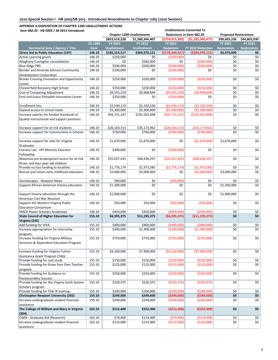| Item 482.20 - HB 5005 / SB 5015 Introduced                                        |             |                    |                                  |                    |                           |                              |                    |  |
|-----------------------------------------------------------------------------------|-------------|--------------------|----------------------------------|--------------------|---------------------------|------------------------------|--------------------|--|
|                                                                                   |             |                    | <b>Chapter 1289 Unallotments</b> |                    | Reductions in Item 482.20 | <b>Proposed Restorations</b> |                    |  |
|                                                                                   |             | \$853,619,228      | \$1,380,344,407                  | (\$754,015,992)    | (51, 335, 540, 477)       | \$99,603,236                 | \$44,803,930       |  |
|                                                                                   | Ch 1289     | FY 2021            | <b>FY 2022</b>                   | FY 2021            |                           | FY 2021                      | FY 2022            |  |
| Secretarial Area / Agency / Title                                                 | <b>Item</b> | <b>Unallotment</b> | <b>Unallotment</b>               | <b>Reduction</b>   | FY 2022 Reduction         | <b>Restoration</b>           | <b>Restoration</b> |  |
| Direct Aid to Public Education (197)                                              | 146.10      | \$185,314,517      | \$304,970,121                    | ( \$178, 344, 517) | (\$304,970,121)           | \$6,970,000                  | \$0                |  |
| <b>Active Learning grants</b>                                                     | 146.10      | \$250,000          | \$0                              | ( \$250,000)       | \$0                       | \$0                          | \$0                |  |
| Alleghany-Covington consolidation                                                 | 146.10      | \$0                | \$582,000                        | \$0                | ( \$582,000]              | \$0                          | \$0                |  |
| <b>Blue Ridge PBS</b>                                                             | 146.10      | \$500,000          | \$500,000                        | ( \$500,000]       | ( \$500,000]              | \$0                          | \$0                |  |
| Bonder and Amanda Johnson Community                                               | 146.10      | \$100,000          | \$0                              | (\$100,000)        | \$0                       | \$0                          | \$0                |  |
| Development Corporation                                                           |             |                    |                                  |                    |                           |                              |                    |  |
| <b>Brooks Crossing Innovation and Opportunity</b><br>Center                       | 146.10      | \$250,000          | \$250,000                        | ( \$250,000)       | ( \$250,000]              | \$0                          | \$0                |  |
| Chesterfield Recovery High School                                                 | 146.10      | \$250,000          | \$250,000                        | ( \$250,000)       | ( \$250,000]              | \$0                          | \$0                |  |
| Cost of Competing Adjustment                                                      | 146.10      | \$9,555,229        | \$9,968,849                      | (59, 555, 229)     | (59,968,849)              | \$0                          | \$0                |  |
| Emil and Grace Shihadeh Innovation Center                                         | 146.10      | \$250,000          | \$0                              | ( \$250,000]       | \$0                       | \$0                          | \$0                |  |
|                                                                                   |             |                    |                                  |                    |                           |                              |                    |  |
| <b>Enrollment loss</b>                                                            | 146.10      | \$2,540,119        | \$2,102,530                      | ( \$2,540,119)     | ( \$2,102,530)            | \$0                          | \$0                |  |
| Expand access to school meals                                                     | 146.10      | \$5,300,000        | \$5,300,000                      | ( \$5,300,000)     | ( \$5,300,000)            | \$0                          | \$0                |  |
| Increase salaries for funded Standards of                                         | 146.10      | \$94,731,247       | \$192,502,898                    | (594, 731, 247)    | (\$192,502,898)           | \$0                          | \$0                |  |
| Quality instructional and support positions                                       |             |                    |                                  |                    |                           |                              |                    |  |
| Increase support for at-risk students                                             | 146.10      | \$26,164,313       | \$35,173,962                     | ( \$26, 164, 313)  | ( \$35,173,962)           | \$0                          | \$0                |  |
| Increase support for Communities in Schools                                       | 146.10      | \$760,000          | \$760,000                        | (5760,000)         | ( \$760,000]              | \$0                          | \$0                |  |
|                                                                                   |             |                    |                                  |                    |                           |                              |                    |  |
| Increase support for Jobs for Virginia<br>Graduates                               | 146.10      | \$1,670,000        | \$1,670,000                      | \$0                | (\$1,670,000)             | \$1,670,000                  | \$0                |  |
| Literacy Lab - VPI Minority Educator                                              | 146.10      | \$300,000          | \$0                              | ( \$300,000)       | \$0                       | \$0                          | \$0                |  |
| Fellowship                                                                        |             |                    |                                  |                    |                           |                              |                    |  |
| Maximize pre-kindergarten access for at-risk<br>three- and four-year-old children | 146.10      | \$35,027,435       | \$48,436,297                     | ( \$35,027,435)    | ( \$48,436,297)           | \$0                          | \$0                |  |
| Provide no loss funding to localities                                             | 146.10      | \$1,776,174        | \$1,973,585                      | (51, 776, 174)     | ( \$1,973,585)            | \$0                          | \$0                |  |
|                                                                                   |             |                    |                                  |                    |                           |                              |                    |  |
| Recruit and retain early childhood educators                                      | 146.10      | \$3,000,000        | \$5,000,000                      | \$0                | ( \$5,000,000)            | \$3,000,000                  | \$0                |  |
| Soundscapes - Newport News                                                        | 146.10      | \$90,000           | \$0                              | ( \$90,000)        | \$0                       | \$0                          | \$0                |  |
| Support African American history education                                        | 146.10      | \$1,300,000        | \$0                              | \$0                | \$0                       | \$1,300,000                  | \$0                |  |
| Support history education through the                                             | 146.10      | \$1,000,000        | \$0                              | \$0                | \$0                       | \$1,000,000                  | \$0                |  |
| American Civil War Museum                                                         |             |                    |                                  |                    |                           |                              |                    |  |
| Support the Western Virginia Public                                               | 146.10      | \$50,000           | \$50,000                         | ( \$50,000]        | ( \$50,000]               | \$0                          | \$0                |  |
| <b>Education Consortium</b>                                                       |             |                    |                                  |                    |                           |                              |                    |  |
| YMCA Power Scholars Academies                                                     | 146.10      | \$450,000          | \$450,000                        | (\$450,000)        | (\$450,000)               | \$0                          | \$0                |  |
| <b>State Council of Higher Education for</b>                                      | 155.10      | \$6,395,375        | \$11,195,375                     | (56, 395, 375)     | ( \$11,195,375)           | \$0                          | \$0                |  |
|                                                                                   |             |                    |                                  |                    |                           |                              |                    |  |
| Virginia (245)                                                                    |             |                    |                                  | (5400,000)         | (5400,000)                | \$0                          |                    |  |
| Add funding for VIVA                                                              | 155.10      | \$400,000          | \$400,000                        |                    |                           |                              | \$0                |  |
| Increase appropriation for internship                                             | 155.10      | \$300,000          | \$1,300,000                      | ( \$300,000)       | ( \$1,300,000)            | \$0                          | \$0                |  |
| program                                                                           |             |                    |                                  |                    |                           |                              |                    |  |
| Increase funding for Virginia Military<br>Survivors & Dependent Education Program | 155.10      | \$750,000          | \$750,000                        | ( \$750,000)       | (\$750,000)               | \$0                          | \$0                |  |
| Increase funding for Virginia Tuition                                             | 155.10      | \$4,100,000        | \$7,900,000                      | ( \$4,100,000)     | ( \$7,900,000)            | \$0                          | \$0                |  |
| Assistance Grant Program (TAG)                                                    |             |                    |                                  |                    |                           |                              |                    |  |
| Provide funding for cost study                                                    | 155.10      | \$150,000          | \$150,000                        | (\$150,000)        | (\$150,000)               | \$0                          | \$0                |  |
| Provide funding for Grow Your Own Teacher                                         | 155.10      | \$125,000          | \$125,000                        | (\$125,000)        | (\$125,000)               | \$0                          | \$0                |  |
| program                                                                           |             |                    |                                  |                    |                           |                              |                    |  |
| Provide funding for Guidance to                                                   | 155.10      | \$250,000          | \$250,000                        | ( \$250,000)       | ( \$250,000)              | \$0                          | \$0                |  |
| <b>Postsecondary Success</b>                                                      |             |                    |                                  |                    |                           |                              |                    |  |
| Provide funding for the Virginia Earth System                                     | 155.10      | \$220,375          | \$220,375                        | ( \$220, 375)      | ( \$220, 375)             | \$0                          | \$0                |  |
| Scholars program                                                                  |             |                    |                                  |                    |                           |                              |                    |  |
| Provide funding for Title IX training                                             | 155.10      | \$100,000          | \$100,000                        | (\$100,000)        | (\$100,000)               | \$0                          | \$0                |  |
| <b>Christopher Newport University (242)</b>                                       | 159.10      | \$249,600          | \$249,600                        | ( \$249, 600)      | ( \$249,600)              | \$0                          | \$0                |  |
| Increase undergraduate student financial                                          | 159.10      | \$249,600          | \$249,600                        | ( \$249,600)       | ( \$249, 600)             | \$0                          | \$0                |  |
| assistance                                                                        |             |                    |                                  |                    |                           |                              |                    |  |
| The College of William and Mary in Virginia<br>(204)                              | 163.10      | \$212,400          | \$252,300                        | (\$212,400)        | (\$252,300)               | \$0                          | \$0                |  |
| CWM - Graduate Aid (Research)                                                     | 163.10      | \$79,400           | \$119,300                        | (579,400)          | ( \$119, 300)             | \$0                          | \$0                |  |
| Increase undergraduate student financial                                          | 163.10      | \$133,000          | \$133,000                        | ( \$133,000)       | ( \$133,000)              | \$0                          | \$0                |  |
| assistance                                                                        |             |                    |                                  |                    |                           |                              |                    |  |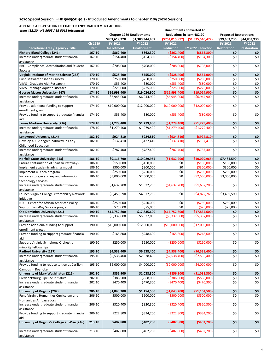| Item 482.20 - HB 5005 / SB 5015 Introduced                                    |             | <b>Unallotments Converted To</b> |                                  |                  |                           |                              |                    |  |  |
|-------------------------------------------------------------------------------|-------------|----------------------------------|----------------------------------|------------------|---------------------------|------------------------------|--------------------|--|--|
|                                                                               |             |                                  | <b>Chapter 1289 Unallotments</b> |                  | Reductions in Item 482.20 | <b>Proposed Restorations</b> |                    |  |  |
|                                                                               |             | \$853,619,228                    | \$1,380,344,407                  | (\$754,015,992)  | (51, 335, 540, 477)       | \$99,603,236                 | \$44,803,930       |  |  |
|                                                                               | Ch 1289     | FY 2021                          | <b>FY 2022</b>                   | FY 2021          |                           | FY 2021                      | FY 2022            |  |  |
| Secretarial Area / Agency / Title                                             | <b>Item</b> | <b>Unallotment</b>               | <b>Unallotment</b>               | <b>Reduction</b> | FY 2022 Reduction         | <b>Restoration</b>           | <b>Restoration</b> |  |  |
| <b>Richard Bland College (241)</b>                                            | 167.10      | \$862,400                        | \$862,300                        | ( \$862, 400)    | ( \$862, 300)             | \$0                          | \$0                |  |  |
| Increase undergraduate student financial<br>assistance                        | 167.10      | \$154,400                        | \$154,300                        | ( \$154,400)     | ( \$154, 300)             | \$0                          | \$0                |  |  |
| RBC - Compliance, Accreditation and Student<br><b>Success</b>                 | 167.10      | \$708,000                        | \$708,000                        | (5708,000)       | (5708,000)                | \$0                          | \$0                |  |  |
| Virginia Institute of Marine Science (268)                                    | 170.10      | \$528,400                        | \$555,000                        | ( \$528,400]     | ( \$555,000)              | \$0                          | \$0                |  |  |
| Fund saltwater fisheries survey                                               | 170.10      | \$250,000                        | \$250,000                        | (\$250,000)      | (\$250,000)               | \$0                          | \$0                |  |  |
| VIMS - Graduate Aid (Research)                                                | 170.10      | \$53,400                         | \$80,000                         | ( \$53,400)      | ( \$80,000)               | \$0                          | \$0                |  |  |
| <b>VIMS - Manage Aquatic Diseases</b>                                         | 170.10      | \$225,000                        | \$225,000                        | (\$225,000)      | (\$225,000)               | \$0                          | \$0                |  |  |
| George Mason University (247)                                                 | 174.10      | \$16,998,400                     | \$19,024,900                     | (\$16,998,400)   | ( \$19,024,900)           | \$0                          | \$0                |  |  |
| Increase undergraduate student financial                                      | 174.10      | \$6,945,000                      | \$6,944,900                      | ( \$6,945,000)   | ( \$6,944,900)            | \$0                          | \$0                |  |  |
| assistance<br>Provide additional funding to support                           | 174.10      | \$10,000,000                     | \$12,000,000                     | (\$10,000,000)   | (\$12,000,000)            | \$0                          | \$0                |  |  |
| enrollment growth<br>Provide funding to support graduate financial            | 174.10      | \$53,400                         | \$80,000                         | ( \$53,400)      | ( \$80,000)               | \$0                          | \$0                |  |  |
| aid                                                                           |             |                                  |                                  |                  |                           |                              |                    |  |  |
| James Madison University (216)                                                | 178.10      | \$1,279,400                      | \$1,279,400                      | (\$1,279,400)    | (\$1,279,400)             | \$0                          | \$0                |  |  |
| Increase undergraduate student financial                                      | 178.10      | \$1,279,400                      | \$1,279,400                      | (\$1,279,400)    | (51, 279, 400)            | \$0                          | \$0                |  |  |
| assistance                                                                    |             |                                  |                                  |                  |                           |                              |                    |  |  |
| Longwood University (214)                                                     | 182.10      | \$924,810                        | \$924,810                        | (5924, 810)      | (5924, 810)               | \$0                          | \$0                |  |  |
| Develop a 2+2 degree pathway in Early<br>Childhood Education                  | 182.10      | \$137,410                        | \$137,410                        | ( \$137,410)     | (\$137,410)               | \$0                          | \$0                |  |  |
| Increase undergraduate student financial<br>assistance                        | 182.10      | \$787.400                        | \$787,400                        | (5787,400)       | (5787, 400)               | \$0                          | \$0                |  |  |
| <b>Norfolk State University (213)</b>                                         | 186.10      | \$9,116,790                      | \$10,029,965                     | (\$1,632,200)    | ( \$10,029,965)           | \$7,484,590                  | \$0                |  |  |
| Ensure continuation of Spartan Pathways                                       | 186.10      | \$150,000                        | \$150,000                        | \$0              | (\$150,000)               | \$150,000                    | \$0                |  |  |
| Implement academic advising model                                             | 186.10      | \$300,000                        | \$300,000                        | \$0              | ( \$300,000)              | \$300,000                    | \$0                |  |  |
| Implement UTeach program                                                      | 186.10      | \$250,000                        | \$250,000                        | \$0              | (\$250,000)               | \$250,000                    | \$0                |  |  |
| Increase storage and expand information                                       | 186.10      | \$3,000,000                      | \$2,500,000                      | \$0              | ( \$2,500,000)            | \$3,000,000                  | \$0                |  |  |
| technology services<br>Increase undergraduate student financial<br>assistance | 186.10      | \$1,632,200                      | \$1,632,200                      | ( \$1,632,200)   | ( \$1,632,200)            | \$0                          | \$0                |  |  |
| Launch Virginia College Affordability Network<br>initiative                   | 186.10      | \$3,459,590                      | \$4,872,765                      | \$0              | (54, 872, 765)            | \$3,459,590                  | \$0                |  |  |
| NSU - Center for African American Policy                                      | 186.10      | \$250,000                        | \$250,000                        | \$0              | ( \$250,000]              | \$250,000                    | \$0                |  |  |
| Support First-Day Success program                                             | 186.10      | \$75,000                         | \$75,000                         | \$0              | (\$75,000)                | \$75,000                     | \$0                |  |  |
| Old Dominion University (221)                                                 | 190.10      | \$15,752,800                     | \$17,835,600                     | (\$15,752,800)   | ( \$17, 835, 600)         | \$0                          | \$0                |  |  |
| Increase undergraduate student financial                                      | 190.10      | \$5,337,000                      | \$5,337,000                      | ( \$5,337,000)   | ( \$5,337,000)            | \$0                          | \$0                |  |  |
| assistance<br>Provide additional funding to support                           | 190.10      | \$10,000,000                     | \$12,000,000                     | ( \$10,000,000)  | (\$12,000,000)            | \$0                          | \$0                |  |  |
| enrollment growth<br>Provide funding to support graduate financial            | 190.10      | \$165,800                        | \$248,600                        | (\$165,800)      | ( \$248,600)              | \$0                          | \$0                |  |  |
| aid<br>Support Virginia Symphony Orchestra                                    | 190.10      | \$250,000                        | \$250,000                        | (\$250,000)      | ( \$250,000]              | \$0                          | \$0                |  |  |
| minority fellowships                                                          |             |                                  |                                  |                  |                           |                              |                    |  |  |
| <b>Radford University (217)</b>                                               | 195.10      | \$4,538,400                      | \$6,538,400                      | (54,538,400)     | (56,538,400)              | \$0                          | \$0                |  |  |
| Increase undergraduate student financial<br>assistance                        | 195.10      | \$2,538,400                      | \$2,538,400                      | ( \$2,538,400)   | ( \$2,538,400)            | \$0                          | \$0                |  |  |
| Provide funding to reduce tuition at Carilion<br>Campus in Roanoke            | 195.10      | \$2,000,000                      | \$4,000,000                      | ( \$2,000,000)   | (\$4,000,000)             | \$0                          | \$0                |  |  |
| University of Mary Washington (215)                                           | 202.10      | \$856,900                        | \$1,038,300                      | ( \$856, 900)    | (\$1,038,300)             | \$0                          | \$0                |  |  |
| Fredericksburg Pipeline Initiative                                            | 202.10      | \$386,500                        | \$568,000                        | ( \$386, 500)    | (5568,000)                | \$0                          | \$0                |  |  |
| Increase undergraduate student financial                                      | 202.10      | \$470,400                        | \$470,300                        | (\$470,400)      | (\$470,300)               | \$0                          | \$0                |  |  |
| assistance                                                                    |             |                                  |                                  |                  |                           |                              |                    |  |  |
| University of Virginia (207)                                                  | 206.10      | \$1,043,200                      | \$1,154,500                      | (\$1,043,200)    | (\$1,154,500)             | \$0                          | \$0                |  |  |
| Fund Virginia Humanities Curriculum and<br>Humanities Ambassadors             | 206.10      | \$500,000                        | \$500,000                        | ( \$500,000]     | ( \$500,000]              | \$0                          | \$0                |  |  |
| Increase undergraduate student financial<br>assistance                        | 206.10      | \$320,400                        | \$320,300                        | ( \$320, 400)    | ( \$320, 300)             | \$0                          | \$0                |  |  |
| Provide funding to support graduate financial<br>aid                          | 206.10      | \$222,800                        | \$334,200                        | ( \$222, 800)    | ( \$334, 200)             | \$0                          | \$0                |  |  |
| University of Virginia's College at Wise (246)                                | 213.10      | \$402,800                        | \$402,700                        | (5402,800)       | (\$402,700)               | \$0                          | \$0                |  |  |
| Increase undergraduate student financial<br>assistance                        | 213.10      | \$402,800                        | \$402,700                        | (5402,800)       | (\$402,700)               | \$0                          | \$0                |  |  |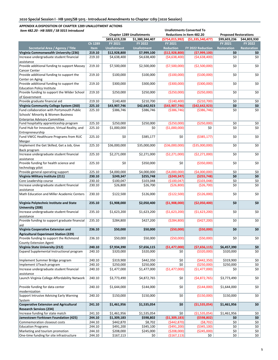| Item 482.20 - HB 5005 / SB 5015 Introduced                                                                              |                  | <b>Unallotments Converted To</b> |                                  |                      |                                  |                              |                    |  |  |  |
|-------------------------------------------------------------------------------------------------------------------------|------------------|----------------------------------|----------------------------------|----------------------|----------------------------------|------------------------------|--------------------|--|--|--|
|                                                                                                                         |                  |                                  | <b>Chapter 1289 Unallotments</b> |                      | <b>Reductions in Item 482.20</b> | <b>Proposed Restorations</b> |                    |  |  |  |
|                                                                                                                         |                  | \$853,619,228                    | \$1,380,344,407                  | (\$754,015,992)      | (\$1,335,540,477]                | \$99,603,236                 | \$44,803,930       |  |  |  |
|                                                                                                                         | Ch 1289          | FY 2021                          | <b>FY 2022</b>                   | <b>FY 2021</b>       |                                  | FY 2021                      | FY 2022            |  |  |  |
| Secretarial Area / Agency / Title                                                                                       | <b>Item</b>      | <b>Unallotment</b>               | <b>Unallotment</b>               | <b>Reduction</b>     | FY 2022 Reduction                | <b>Restoration</b>           | <b>Restoration</b> |  |  |  |
| Virginia Commonwealth University (236)                                                                                  | 219.10           | \$12,928,800                     | \$7,999,100                      | ( \$12,928,800 ]     | (57,999,100)                     | \$0                          | \$0                |  |  |  |
| Increase undergraduate student financial<br>assistance                                                                  | 219.10           | \$4,638,400                      | \$4,638,400                      | (54, 638, 400)       | (54, 638, 400)                   | \$0                          | \$0                |  |  |  |
| Provide additional funding to support Massey                                                                            | 219.10           | \$7,500,000                      | \$2,500,000                      | ( \$7,500,000)       | ( \$2,500,000)                   | \$0                          | \$0                |  |  |  |
| Cancer Center<br>Provide additional funding to support the                                                              | 219.10           | \$100,000                        | \$100,000                        | (\$100,000)          | (\$100,000)                      | \$0                          | \$0                |  |  |  |
| Center on Aging<br>Provide additional funding to support the                                                            | 219.10           | \$300,000                        | \$300,000                        | ( \$300,000)         | ( \$300,000)                     | \$0                          | \$0                |  |  |  |
| <b>Education Policy Institute</b><br>Provide funding to support the Wilder School                                       | 219.10           | \$250,000                        | \$250,000                        | ( \$250,000)         | ( \$250,000]                     | \$0                          | \$0                |  |  |  |
| of Government                                                                                                           |                  |                                  |                                  |                      |                                  |                              |                    |  |  |  |
| Provide graduate financial aid                                                                                          | 219.10           | \$140,400                        | \$210,700                        | ( \$140, 400)        | ( \$210, 700)                    | \$0                          | \$0                |  |  |  |
| Virginia Community College System (260)                                                                                 | 225.10           | \$43,907,746                     | \$42,642,923                     | ( \$43,907,746]      | (542, 642, 923)                  | \$0                          | \$0                |  |  |  |
| Fund collaboration with Portsmouth Public<br>Schools' Minority & Women Business<br><b>Enterprise Advisory Committee</b> | 225.10           | \$386,746                        | \$386,746                        | ( \$386, 746)        | ( \$386, 746)                    | \$0                          | \$0                |  |  |  |
| Fund hospitality apprenticeship program                                                                                 | 225.10           | \$250,000                        | \$250,000                        | (\$250,000)          | (\$250,000)                      | \$0                          | \$0                |  |  |  |
| Fund Hub for Innovation, Virtual Reality, and<br>Entrepreneurship                                                       | 225.10           | \$1,000,000                      | \$0                              | ( \$1,000,000)       | \$0                              | \$0                          | \$0                |  |  |  |
| Fund VWCC Healthcare Programs from RUC<br>Merger                                                                        | 225.10           | \$0                              | \$385,177                        | \$0                  | ( \$385, 177)                    | \$0                          | \$0                |  |  |  |
| Implement the Get Skilled, Get a Job, Give<br>Back program                                                              | 225.10           | \$36,000,000                     | \$35,000,000                     | (\$36,000,000)       | ( \$35,000,000)                  | \$0                          | \$0                |  |  |  |
| Increase undergraduate student financial<br>assistance                                                                  | 225.10           | \$2,271,000                      | \$2,271,000                      | (\$2,271,000)        | (52, 271, 000)                   | \$0                          | \$0                |  |  |  |
| Provide funding for health science and<br>technology pilot                                                              | 225.10           | \$0                              | \$350,000                        | \$0                  | ( \$350,000)                     | \$0                          | \$0                |  |  |  |
| Provide general operating support                                                                                       | 225.10           | \$4,000,000                      | \$4,000,000                      | ( \$4,000,000)       | ( \$4,000,000)                   | \$0                          | \$0                |  |  |  |
| Virginia Military Institute (211)                                                                                       | 230.10           | \$249,347                        | \$255,748                        | (5249, 347)          | (\$255,748)                      | \$0                          | \$0                |  |  |  |
| Core Leadership course                                                                                                  | 230.10           | \$100,047                        | \$103,048                        | (\$100,047)          | ( \$103,048)                     | \$0                          | \$0                |  |  |  |
| Increase undergraduate student financial<br>assistance                                                                  | 230.10           | \$26,800                         | \$26,700                         | ( \$26, 800)         | (\$26,700)                       | \$0                          | \$0                |  |  |  |
| Math Education and Miller Academic Centers                                                                              | 230.10           | \$122,500                        | \$126,000                        | (\$122,500)          | (\$126,000)                      | \$0                          | \$0                |  |  |  |
| Virginia Polytechnic Institute and State<br>University (208)                                                            | 235.10           | \$1,908,000                      | \$2,050,400                      | (\$1,908,000)        | ( \$2,050,400)                   | \$0                          | \$0                |  |  |  |
| Increase undergraduate student financial<br>assistance                                                                  | 235.10           | \$1,623,200                      | \$1,623,200                      | ( \$1,623,200)       | ( \$1,623,200)                   | \$0                          | \$0                |  |  |  |
| Provide funding to support graduate financial<br>laid                                                                   | 235.10           | \$284,800                        | \$427,200                        | ( \$284, 800)        | (5427, 200)                      | \$0                          | \$0                |  |  |  |
| Virginia Cooperative Extension and                                                                                      | 236.10           | \$50,000                         | \$50,000                         | (550,000)            | (550,000)                        | \$0                          | \$0                |  |  |  |
| <b>Agricultural Experiment Station (229)</b>                                                                            |                  |                                  |                                  |                      |                                  |                              |                    |  |  |  |
| Provide funding to support the Richmond                                                                                 | 236.10           | \$50,000                         | \$50,000                         | ( \$50,000)          | ( \$50,000)                      | \$0                          | \$0                |  |  |  |
| County Extension Agent<br>Virginia State University (212)                                                               | 240.10           | \$7,934,390                      | \$7,656,115                      | (\$1,477,000)        | ( \$7,656,115)                   | \$6,457,390                  | \$0\$              |  |  |  |
| Expand Supplemental Instructional program                                                                               | 240.10           | \$320,000                        | \$320,000                        | \$0                  | ( \$320,000)                     | \$320,000                    | \$0                |  |  |  |
|                                                                                                                         |                  |                                  |                                  |                      |                                  |                              |                    |  |  |  |
| Implement Summer Bridge program                                                                                         | 240.10           | \$319,900                        | \$442,350                        | \$0                  | (5442, 350)                      | \$319,900                    | \$0                |  |  |  |
| Implement UTeach program<br>Increase undergraduate student financial                                                    | 240.10<br>240.10 | \$250,000<br>\$1,477,000         | \$250,000<br>\$1,477,000         | \$0<br>(\$1,477,000) | (\$250,000)<br>(\$1,477,000)     | \$250,000<br>\$0             | \$0<br>\$0         |  |  |  |
| assistance                                                                                                              |                  |                                  |                                  |                      |                                  |                              |                    |  |  |  |
| Launch Virginia College Affordability Network                                                                           | 240.10           | \$3,773,490                      | \$4,872,765                      | \$0                  | (54,872,765)                     | \$3,773,490                  | \$0                |  |  |  |
| Provide funding for data center                                                                                         | 240.10           | \$1,644,000                      | \$144,000                        | \$0                  | ( \$144,000)                     | \$1,644,000                  | \$0                |  |  |  |
| modernization<br>Support Intrusive Advising Early Warning                                                               | 240.10           | \$150,000                        | \$150,000                        | \$0                  | (\$150,000)                      | \$150,000                    | \$0                |  |  |  |
| System                                                                                                                  |                  |                                  |                                  |                      |                                  |                              |                    |  |  |  |
| <b>Cooperative Extension and Agricultural</b><br><b>Research Services (234)</b>                                         | 241.10           | \$1,461,956                      | \$1,535,054                      | \$0                  | (\$1,535,054)                    | \$1,461,956                  | \$0                |  |  |  |
| Increase funding for state match                                                                                        | 241.10           | \$1,461,956                      | \$1,535,054                      | \$0                  | ( \$1,535,054)                   | \$1,461,956                  | \$0                |  |  |  |
| Jamestown-Yorktown Foundation (425)                                                                                     | 244.10           | \$1,309,183                      | \$598,802                        | (\$1,309,183)        | ( \$598, 802)                    | \$0                          | \$0                |  |  |  |
| Commemoration closeout costs                                                                                            | 244.10           | \$442,870                        | \$8,702                          | (5442,870)           | ( \$8,702)                       | \$0                          | \$0                |  |  |  |
| <b>Education Programs</b>                                                                                               | 244.10           | \$491,200                        | \$345,100                        | (5491, 200)          | ( \$345, 100)                    | \$0                          | \$0                |  |  |  |
| Marketing and tourism promotion                                                                                         | 244.10           | \$208,000                        | \$245,000                        | ( \$208,000)         | ( \$245,000)                     | \$0                          | \$0                |  |  |  |
| One-time funding for site infrastructure                                                                                | 244.10           | \$167,113                        | \$0                              | ( \$167, 113)        | \$0                              | \$0                          | \$0                |  |  |  |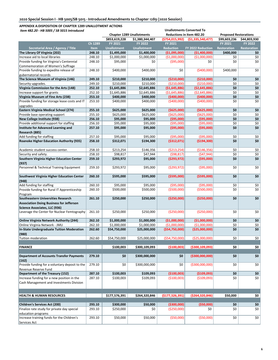| Item 482.20 - HB 5005 / SB 5015 Introduced          |             |                    |                                  |                    | <b>Unallotments Converted To</b> |                              |                    |
|-----------------------------------------------------|-------------|--------------------|----------------------------------|--------------------|----------------------------------|------------------------------|--------------------|
|                                                     |             |                    | <b>Chapter 1289 Unallotments</b> |                    | <b>Reductions in Item 482.20</b> | <b>Proposed Restorations</b> |                    |
|                                                     |             | \$853,619,228      | \$1,380,344,407                  | ( \$754, 015, 992) | ( \$1,335,540,477]               | \$99,603,236                 | \$44,803,930       |
|                                                     | Ch 1289     | FY 2021            | <b>FY 2022</b>                   | FY 2021            |                                  | FY 2021                      | FY 2022            |
| Secretarial Area / Agency / Title                   | <b>Item</b> | <b>Unallotment</b> | <b>Unallotment</b>               | <b>Reduction</b>   | FY 2022 Reduction                | Restoration                  | <b>Restoration</b> |
| The Library Of Virginia (202)                       | 248.10      | \$1,495,000        | \$1,400,000                      | (\$1,095,000)      | ( \$1,400,000)                   | \$400,000                    | \$0                |
| Increase aid to local libraries                     | 248.10      | \$1,000,000        | \$1,000,000                      | ( \$1,000,000)     | ( \$1,000,000)                   | \$0                          | \$0                |
| Provide funding for Virginia's Centennial           | 248.10      | \$95,000           | \$0                              | ( \$95,000)        | \$0                              | \$0                          | \$0                |
| Commemoration of Women's Suffrage                   |             |                    |                                  |                    |                                  |                              |                    |
| Provide funding to expedite release of              | 248.10      | \$400,000          | \$400,000                        | \$0                | (\$400,000)                      | \$400,000                    | \$0                |
| gubernatorial records                               |             |                    |                                  |                    |                                  |                              |                    |
| The Science Museum of Virginia (146)                | 249.10      | \$210,000          | \$210,000                        | (\$210,000)        | (\$210,000)                      | \$0                          | \$0                |
| Security upgrades.                                  | 249.10      | \$210,000          | \$210,000                        | (\$210,000)        | ( \$210,000]                     | \$0                          | \$0                |
| Virginia Commission for the Arts (148)              | 252.10      | \$1,645,886        | \$2,645,886                      | ( \$1,645,886)     | ( \$2,645,886)                   | \$0                          | \$0                |
| Increase support for grants                         | 252.10      | \$1,645,886        | \$2,645,886                      | ( \$1,645,886)     | (52,645,886)                     | \$0                          | \$0                |
| Virginia Museum of Fine Arts (238)                  | 253.10      | \$400,000          | \$400,000                        | (\$400,000)        | (\$400,000)                      | \$0                          | \$0                |
| Provide funding for storage lease costs and IT      | 253.10      | \$400,000          | \$400,000                        | (5400,000)         | (\$400,000)                      | \$0                          | \$0                |
| upgrades                                            |             |                    |                                  |                    |                                  |                              |                    |
| Eastern Virginia Medical School (274)               | 255.10      | \$625,000          | \$625,000                        | ( \$625,000]       | ( \$625,000]                     | \$0                          | \$0                |
| Provide base operating support                      | 255.10      | \$625,000          | \$625,000                        | ( \$625,000]       | ( \$625,000)                     | \$0                          | \$0                |
| New College Institute (938)                         | 256.10      | \$95,000           | \$95,000                         | (\$95,000)         | ( \$95,000)                      | \$0                          | \$0                |
| Provide additional support for staffing             |             |                    |                                  | (\$95,000)         | (\$95,000)                       | \$0                          | \$0                |
|                                                     | 256.10      | \$95,000           | \$95,000                         |                    |                                  | \$0                          | \$0                |
| Institute for Advanced Learning and                 | 257.10      | \$95,000           | \$95,000                         | ( \$95,000)        | ( \$95,000)                      |                              |                    |
| Research (885)                                      |             |                    |                                  |                    |                                  |                              |                    |
| Add funding for staffing                            | 257.10      | \$95,000           | \$95,000                         | ( \$95,000)        | (\$95,000)                       | \$0                          | \$0                |
| <b>Roanoke Higher Education Authority (935)</b>     | 258.10      | \$312,071          | \$194,300                        | ( \$312,071)       | ( \$194, 300)                    | \$0                          | \$0                |
|                                                     |             |                    |                                  |                    |                                  |                              |                    |
| Academic student success center.                    | 258.10      | \$213,254          | \$146,356                        | (5213, 254)        | ( \$146, 356)                    | \$0                          | \$0                |
| Security and safety.                                | 258.10      | \$98,817           | \$47,944                         | (598, 817)         | (547, 944)                       | \$0                          | \$0                |
| Southern Virginia Higher Education Center<br>(937)  | 259.10      | \$293,972          | \$95,000                         | (5293, 972)        | ( \$95,000)                      | \$0                          | \$0                |
| Personnel & Technical Training Equipment            | 259.10      | \$293,972          | \$95,000                         | (5293, 972)        | ( \$95,000)                      | \$0                          | \$0                |
| Southwest Virginia Higher Education Center<br>(948) | 260.10      | \$595,000          | \$595,000                        | ( \$595,000]       | ( \$595,000]                     | \$0                          | \$0                |
| Add funding for staffing                            | 260.10      | \$95,000           | \$95,000                         | ( \$95,000)        | (\$95,000)                       | \$0                          | \$0                |
| Provide funding for Rural IT Apprenticeship         | 260.10      | \$500,000          | \$500,000                        | ( \$500,000]       | ( \$500,000]                     | \$0                          | \$0                |
| Program                                             |             |                    |                                  |                    |                                  |                              |                    |
| <b>Southeastern Universities Research</b>           | 261.10      | \$250,000          | \$250,000                        | (\$250,000)        | (\$250,000)                      | \$0                          | \$0                |
| <b>Association Doing Business for Jefferson</b>     |             |                    |                                  |                    |                                  |                              |                    |
| Science Associates. LLC (936)                       |             |                    |                                  |                    |                                  |                              |                    |
| Leverage the Center for Nuclear Femtography         | 261.10      | \$250,000          | \$250,000                        | ( \$250,000)       | (\$250,000)                      | \$0                          | \$0                |
|                                                     |             |                    |                                  |                    |                                  |                              |                    |
| Online Virginia Network Authority (244)             | 262.10      | \$1,000,000        | \$1,000,000                      | (\$1,000,000)      | ( \$1,000,000)                   | \$0                          | \$0                |
| Online Virginia Network - JMU                       | 262.10      | \$1,000,000        | \$1,000,000                      | (\$1,000,000)      | ( \$1,000,000)                   | \$0                          | \$0                |
| In-State Undergraduate Tuition Moderation           | 262.60      | \$54,750,000       | \$25,000,000                     | ( \$54,750,000]    | ( \$25,000,000)                  | \$0                          | \$0                |
| (980)                                               |             |                    |                                  |                    |                                  |                              |                    |
| <b>Tuition moderation</b>                           | 262.60      | \$54,750,000       | \$25,000,000                     | ( \$54,750,000]    | (\$25,000,000)                   | \$0                          | \$0                |
|                                                     |             |                    |                                  |                    |                                  |                              |                    |
| <b>FINANCE</b>                                      |             | \$100,003          | \$300,109,093                    | (\$100,003)        | ( \$300, 109, 093]               | \$0                          | \$0                |
| <b>Department of Accounts Transfer Payments</b>     | 279.10      | \$0                | \$300,000,000                    | \$0                | (\$300,000,000)                  | \$0                          | \$0                |
| (162)                                               |             |                    |                                  |                    |                                  |                              |                    |
| Provide funding for a voluntary deposit to the      | 279.10      | \$0                | \$300,000,000                    | \$0                | ( \$300,000,000)                 | \$0                          | \$0                |
| Revenue Reserve Fund                                |             |                    |                                  |                    |                                  |                              |                    |
| Department of the Treasury (152)                    | 287.10      | \$100,003          | \$109,093                        | (\$100,003)        | (\$109,093)                      | \$0                          | \$0                |
| Increase funding for a new position in the          | 287.10      | \$100,003          | \$109,093                        | ( \$100,003)       | ( \$109,093)                     | \$0                          | \$0                |
| Cash Management and Investments Division            |             |                    |                                  |                    |                                  |                              |                    |
|                                                     |             |                    |                                  |                    |                                  |                              |                    |
|                                                     |             |                    |                                  |                    |                                  |                              |                    |
| <b>HEALTH &amp; HUMAN RESOURCES</b>                 |             | \$177,576,391      | \$264,320,846                    | (\$177,526,391)    | ( \$264, 320, 846]               | \$50,000                     | \$0                |
|                                                     |             |                    |                                  |                    |                                  |                              |                    |
| <b>Children's Services Act (200)</b>                | 293.10      | \$300,000          | \$50,000                         | ( \$300,000]       | ( \$50,000]                      | \$0                          | \$0                |
| Finalize rate study for private day special         | 293.10      | \$250,000          | \$0                              | ( \$250,000]       | \$0                              | \$0                          | \$0                |
| education programs                                  |             |                    |                                  |                    |                                  |                              |                    |
| Increase training funds for the Children's          | 293.10      | \$50,000           | \$50,000                         | ( \$50,000)        | ( \$50,000)                      | \$0                          | \$0\$              |
| Services Act                                        |             |                    |                                  |                    |                                  |                              |                    |
|                                                     |             |                    |                                  |                    |                                  |                              |                    |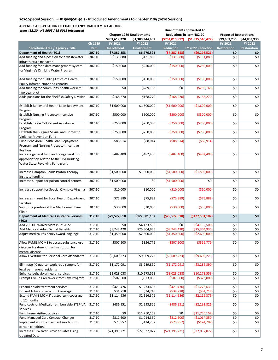| Item 482.20 - HB 5005 / SB 5015 Introduced                                      |             |                    |                                  |                  | <b>Unallotments Converted To</b> |                              |                    |
|---------------------------------------------------------------------------------|-------------|--------------------|----------------------------------|------------------|----------------------------------|------------------------------|--------------------|
|                                                                                 |             |                    | <b>Chapter 1289 Unallotments</b> |                  | Reductions in Item 482.20        | <b>Proposed Restorations</b> |                    |
|                                                                                 |             | \$853,619,228      | \$1,380,344,407                  | (\$754,015,992)  | ( \$1,335,540,477]               | \$99,603,236                 | \$44,803,930       |
|                                                                                 | Ch 1289     | FY 2021            | <b>FY 2022</b>                   | FY 2021          |                                  | FY 2021                      | <b>FY 2022</b>     |
| Secretarial Area / Agency / Title                                               | <b>Item</b> | <b>Unallotment</b> | <b>Unallotment</b>               | <b>Reduction</b> | <b>FY 2022 Reduction</b>         | <b>Restoration</b>           | <b>Restoration</b> |
| Department of Health (601)                                                      | 307.10      | \$7,387,353        | \$6,276,521                      | (57, 387, 353)   | (56, 276, 521)                   | \$0                          | \$0                |
| Add funding and a position for a wastewater<br>infrastructure manager           | 307.10      | \$131.880          | \$131,880                        | ( \$131, 880)    | (\$131,880)                      | \$0                          | \$0                |
| Add funding for a data management system                                        | 307.10      | \$150,000          | \$250,000                        | (\$150,000)      | ( \$250,000)                     | \$0                          | \$0                |
| for Virginia's Drinking Water Program                                           |             |                    |                                  |                  |                                  |                              |                    |
| Add funding for building Office of Health<br>Equity infrastructure and capacity | 307.10      | \$150,000          | \$150,000                        | (\$150,000)      | (\$150,000)                      | \$0                          | \$0                |
| Add funding for community health workers -<br>two year pilot                    | 307.10      | \$0                | \$289,168                        | \$0              | (5289, 168)                      | \$0                          | \$0                |
| Adds positions for the Shellfish Safety Division                                | 307.10      | \$168,270          | \$168,270                        | (\$168,270)      | (\$168,270)                      | \$0                          | \$0                |
| Establish Behavioral Health Loan Repayment<br>Program                           | 307.10      | \$1,600,000        | \$1,600,000                      | ( \$1,600,000)   | (\$1,600,000)                    | \$0                          | \$0                |
| <b>Establish Nursing Preceptor Incentive</b>                                    | 307.10      | \$500,000          | \$500,000                        | ( \$500,000]     | ( \$500,000]                     | \$0                          | \$0                |
| Program                                                                         |             |                    |                                  |                  |                                  |                              |                    |
| Establish Sickle Cell Patient Assistance<br>Program                             | 307.10      | \$250,000          | \$250,000                        | ( \$250,000)     | ( \$250,000)                     | \$0                          | \$0                |
| Establish the Virginia Sexual and Domestic                                      | 307.10      | \$750,000          | \$750,000                        | ( \$750,000]     | ( \$750,000]                     | \$0                          | \$0                |
| Violence Prevention Fund<br>Fund Behavioral Health Loan Repayment               | 307.10      | \$88,914           | \$88,914                         | ( \$88, 914)     | ( \$88, 914)                     | \$0                          | \$0                |
| Program and Nursing Preceptor Incentive<br>Position                             |             |                    |                                  |                  |                                  |                              |                    |
| Increase general fund and nongeneral fund                                       | 307.10      | \$482,400          | \$482,400                        | (5482, 400)      | (\$482,400)                      | \$0                          | \$0                |
| appropriation related to the EPA Drinking<br>Water State Revolving Fund grant   |             |                    |                                  |                  |                                  |                              |                    |
| Increase Hampton Roads Proton Therapy<br>Institute funding                      | 307.10      | \$1,500,000        | \$1,500,000                      | (\$1,500,000)    | ( \$1,500,000)                   | \$0                          | \$0                |
| Increase support for poison control centers                                     | 307.10      | \$1,500,000        | \$0                              | (\$1,500,000)    | \$0                              | \$0                          | \$0                |
| Increase support for Special Olympics Virginia                                  | 307.10      | \$10,000           | \$10,000                         | (\$10,000)       | (\$10,000)                       | \$0                          | \$0                |
| Increases in rent for Local Health Department<br>facilities                     | 307.10      | \$75,889           | \$75,889                         | (575,889)        | (575,889)                        | \$0                          | \$0                |
| Support a position at the Mel Leaman Free<br>Clinic                             | 307.10      | \$30,000           | \$30,000                         | ( \$30,000)      | ( \$30,000)                      | \$0                          | \$0                |
| <b>Department of Medical Assistance Services</b><br>(602)                       | 317.10      | \$79,572,610       | \$127,501,107                    | (579, 572, 610)  | (\$127,501,107)                  | \$0                          | \$0                |
| Add 250 DD Waiver Slots in FY 2022                                              | 317.10      | \$0                | \$4,133,500                      | \$0              | (54, 133, 500)                   | \$0                          | \$0                |
| Add Medicaid Adult Dental Benefits                                              | 317.10      | \$8,743,420        | \$25,304,935                     | ( \$8,743,420)   | ( \$25, 304, 935)                | \$0                          | \$0                |
| Adjust medical residency award language                                         | 317.10      | \$1,350,000        | \$2,600,000                      | ( \$1,350,000)   | ( \$2,600,000)                   | \$0                          | \$0                |
| Allow FAMIS MOMS to access substance use                                        | 317.10      | \$307,500          | \$356,775                        | ( \$307,500)     | ( \$356, 775)                    | \$0                          | \$0                |
| disorder treatment in an institution for                                        |             |                    |                                  |                  |                                  |                              |                    |
| mental disease<br>Allow Overtime for Personal Care Attendants                   | 317.10      | \$9,609,223        | \$9,609,223                      | ( \$9,609,223)   | ( \$9,609,223)                   | \$0                          | \$0                |
| Eliminate 40 quarter work requirement for                                       | 317.10      | \$1,172,091        | \$3,289,890                      | (51, 172, 091)   | ( \$3, 289, 890)                 | \$0                          | \$0                |
| legal permanent residents                                                       |             |                    |                                  |                  |                                  |                              |                    |
| Enhance behavioral health services                                              | 317.10      | \$3,028,038        | \$10,273,553                     | ( \$3,028,038)   | ( \$10, 273, 553)                | \$0                          | \$0                |
| Exempt Live-in Caretakers from EVV Program                                      | 317.10      | \$507,500          | \$373,000                        | ( \$507, 500)    | ( \$373,000)                     | \$0                          | \$0                |
| Expand opioid treatment services                                                | 317.10      | \$421,476          | \$1,273,633                      | (5421, 476)      | (\$1,273,633)                    | \$0                          | \$0                |
| <b>Expand Tobacco Cessation Coverage</b>                                        | 317.10      | \$34,718           | \$34,718                         | ( \$34, 718)     | (534, 718)                       | \$0                          | \$0                |
| Extend FAMIS MOMS' postpartum coverage<br>to 12 months                          | 317.10      | \$1,114,936        | \$2,116,376                      | ( \$1,114,936)   | ( \$2,116,376)                   | \$0                          | \$0                |
| Fund costs of Medicaid-reimbursable STEP-VA<br>services                         | 317.10      | \$486,951          | \$2,293,826                      | (5486, 951)      | (52, 293, 826)                   | \$0                          | \$0                |
| Fund home visiting services                                                     | 317.10      | \$0                | \$11,750,159                     | \$0              | (\$11,750,159)                   | \$0                          | \$0                |
| Fund Managed Care Contract Changes                                              | 317.10      | \$812,600          | \$1,014,350                      | ( \$812, 600)    | ( \$1,014,350)                   | \$0                          | \$0                |
| Implement episodic payment models for<br>certain conditions                     | 317.10      | \$75,957           | \$124,707                        | (575, 957)       | (\$124,707)                      | \$0                          | \$0                |
| Increase DD Waiver Provider Rates Using<br>Updated Data                         | 317.10      | \$21,395,221       | \$22,037,077                     | ( \$21,395,221)  | (\$22,037,077)                   | \$0                          | \$0                |
|                                                                                 |             |                    |                                  |                  |                                  |                              |                    |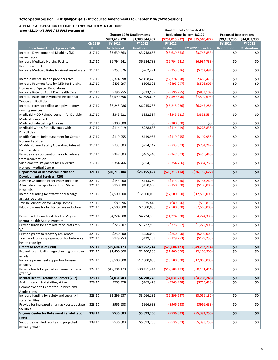| Item 482.20 - HB 5005 / SB 5015 Introduced                 |             |                    |                                  |                  | <b>Unallotments Converted To</b> |                              |                    |
|------------------------------------------------------------|-------------|--------------------|----------------------------------|------------------|----------------------------------|------------------------------|--------------------|
|                                                            |             |                    | <b>Chapter 1289 Unallotments</b> |                  | Reductions in Item 482.20        | <b>Proposed Restorations</b> |                    |
|                                                            |             | \$853,619,228      | \$1,380,344,407                  | (\$754,015,992)  | (51, 335, 540, 477)              | \$99,603,236                 | \$44,803,930       |
|                                                            | Ch 1289     | FY 2021            | <b>FY 2022</b>                   | FY 2021          |                                  | FY 2021                      | FY 2022            |
| Secretarial Area / Agency / Title                          | <b>Item</b> | <b>Unallotment</b> | <b>Unallotment</b>               | <b>Reduction</b> | FY 2022 Reduction                | <b>Restoration</b>           | <b>Restoration</b> |
| Increase Developmental Disability (DD)                     | 317.10      | \$3,639,663        | \$3,748,853                      | ( \$3,639,663)   | (53,748,853)                     | \$0                          | \$0                |
| waiver rates                                               |             |                    |                                  |                  |                                  |                              |                    |
| <b>Increase Medicaid Nursing Facility</b>                  | 317.10      | \$6,794,541        | \$6,984,788                      | (56, 794, 541)   | (56,984,788)                     | \$0                          | \$0                |
| Reimbursement                                              |             |                    |                                  |                  |                                  |                              |                    |
| Increase Medicaid Rates for Anesthesiologists              | 317.10      | \$253,376          | \$262,491                        | ( \$253, 376)    | ( \$262,491)                     | \$0                          | \$0                |
|                                                            |             |                    |                                  |                  |                                  |                              |                    |
| Increase mental health provider rates                      | 317.10      | \$2,374,698        | \$2,458,479                      | ( \$2,374,698)   | ( \$2,458,479)                   | \$0                          | \$0                |
| Increase Payment Rate by 9.5% for Nursing                  | 317.10      | \$493,097          | \$506,903                        | (5493,097)       | ( \$506, 903)                    | \$0                          | \$0                |
| Homes with Special Populations                             |             |                    |                                  |                  |                                  |                              |                    |
| Increase Rate for Adult Day Health Care                    | 317.10      | \$796,755          | \$833,109                        | (5796, 755)      | ( \$833, 109)                    | \$0                          | \$0\$              |
| Increase Rates for Psychiatric Residential                 | 317.10      | \$7,599,696        | \$7,599,696                      | (57,599,696)     | (57,599,696)                     | \$0                          | \$0                |
| <b>Treatment Facilities</b>                                |             |                    |                                  |                  |                                  |                              |                    |
| Increase rates for skilled and private duty                | 317.10      | \$6,245,286        | \$6,245,286                      | ( \$6, 245, 286) | ( \$6, 245, 286)                 | \$0                          | \$0                |
| nursing services                                           |             |                    |                                  |                  |                                  |                              |                    |
| Medicaid MCO Reimbursement for Durable                     | 317.10      | \$345,621          | \$352,534                        | ( \$345, 621)    | ( \$352, 534)                    | \$0                          | \$0                |
|                                                            |             |                    |                                  |                  |                                  |                              |                    |
| <b>Medical Equipment</b><br>Medicaid Rate Setting Analysis |             | \$300,000          | \$0                              | ( \$300,000)     | \$0                              | \$0                          |                    |
| Medicaid Works for Individuals with                        | 317.10      |                    |                                  |                  |                                  | \$0                          | \$0                |
|                                                            | 317.10      | \$114,419          | \$228,838                        | ( \$114, 419)    | ( \$228, 838)                    |                              | \$0                |
| <b>Disabilities</b>                                        |             |                    |                                  |                  |                                  |                              |                    |
| Modify Capital Reimbursement for Certain                   | 317.10      | \$119,955          | \$119,955                        | ( \$119, 955)    | ( \$119, 955)                    | \$0                          | \$0                |
| <b>Nursing Facilities</b>                                  |             |                    |                                  |                  |                                  |                              |                    |
| Modify Nursing Facility Operating Rates at                 | 317.10      | \$733,303          | \$754,247                        | (5733,303)       | (5754, 247)                      | \$0                          | \$0                |
| <b>Four Facilities</b>                                     |             |                    |                                  |                  |                                  |                              |                    |
| Provide care coordination prior to release                 | 317.10      | \$347,803          | \$465,440                        | ( \$347, 803)    | ( \$465, 440]                    | \$0                          | \$0                |
| from incarceration                                         |             |                    |                                  |                  |                                  |                              |                    |
| Supplemental Payments for Children's                       | 317.10      | \$354,766          | \$354,766                        | ( \$354, 766)    | ( \$354, 766)                    | \$0                          | \$0                |
| <b>National Medical Center</b>                             |             |                    |                                  |                  |                                  |                              |                    |
| Department of Behavioral Health and                        | 321.10      | \$20,713,104       | \$26,155,627                     | ( \$20,713,104]  | ( \$26, 155, 627]                | \$0                          | \$0                |
| <b>Developmental Services (720)</b>                        |             |                    |                                  |                  |                                  |                              |                    |
| Adverse Childhood Experiences Initiative                   | 321.10      | \$143,260          | \$143,260                        | ( \$143, 260)    | ( \$143, 260)                    | \$0                          | \$0                |
| Alternative Transportation from State                      | 321.10      | \$150,000          | \$150,000                        | (\$150,000)      | (\$150,000)                      | \$0                          | \$0                |
| Hospitals                                                  |             |                    |                                  |                  |                                  |                              |                    |
| Increase funding for statewide discharge                   | 321.10      | \$7,500,000        | \$12,500,000                     | ( \$7,500,000)   | (\$12,500,000)                   | \$0                          | \$0                |
| assistance plans                                           |             |                    |                                  |                  |                                  |                              |                    |
| Jewish Foundation for Group Homes                          | 321.10      | \$89,396           | \$35,818                         | ( \$89, 396)     | (535, 818)                       | \$0                          | \$0                |
| Pilot Programs for facility census reduction               | 321.10      | \$7,500,000        | \$7,500,000                      | (57,500,000)     | ( \$7,500,000)                   | \$0                          | \$0                |
|                                                            |             |                    |                                  |                  |                                  |                              |                    |
| Provide additional funds for the Virginia                  | 321.10      | \$4,224,388        | \$4,224,388                      | (54, 224, 388)   | (54, 224, 388)                   | \$0                          | \$0                |
| Mental Health Access Program                               |             |                    |                                  |                  |                                  |                              |                    |
| Provide funds for administrative costs of STEP-            | 321.10      | \$726,807          | \$1,222,908                      | (5726,807)       | (51, 222, 908)                   | \$0                          | \$0                |
| VA)                                                        |             |                    |                                  |                  |                                  |                              |                    |
| Provide grants to recovery residences                      | 321.10      | \$250,000          | \$250,000                        | ( \$250,000)     | ( \$250,000)                     | \$0                          | \$0                |
| Train workforce in preparation for behavioral              | 321.10      | \$129,253          | \$129,253                        | (5129, 253)      | ( \$129, 253)                    | \$0                          | \$0                |
| health redesign                                            |             |                    |                                  |                  |                                  |                              |                    |
| <b>Grants to Localities (790)</b>                          | 322.10      | \$29,604,173       | \$49,252,214                     | ( \$29,604,173)  | (549, 252, 214)                  | \$0                          | \$0                |
| Expand forensic discharge planning programs                | 322.10      | \$1,400,000        | \$2,100,800                      | (\$1,400,000)    | ( \$2,100,800)                   | \$0                          | \$0                |
| in jails                                                   |             |                    |                                  |                  |                                  |                              |                    |
| Increase permanent supportive housing                      | 322.10      | \$8,500,000        | \$17,000,000                     | ( \$8,500,000)   | (\$17,000,000)                   | \$0                          | \$0                |
| capacity                                                   |             |                    |                                  |                  |                                  |                              |                    |
| Provide funds for partial implementation of                | 322.10      | \$19,704,173       | \$30,151,414                     | ( \$19,704,173)  | ( \$30,151,414)                  | \$0                          | \$0                |
| STEP-VA                                                    |             |                    |                                  |                  |                                  |                              |                    |
| <b>Mental Health Treatment Centers (792)</b>               | 328.10      | \$4,031,703        | \$4,798,248                      | (54,031,703)     | (54, 798, 248)                   | \$0                          | \$0                |
|                                                            |             |                    |                                  |                  |                                  |                              |                    |
| Add critical clinical staffing at the                      | 328.10      | \$765,428          | \$765,428                        | (5765, 428)      | (5765, 428)                      | \$0                          | \$0                |
| Commonwealth Center for Children and                       |             |                    |                                  |                  |                                  |                              |                    |
| Adolescents                                                |             |                    |                                  |                  |                                  |                              |                    |
| Increase funding for safety and security in                | 328.10      | \$2,299,637        | \$3,066,182                      | ( \$2, 299, 637) | ( \$3,066,182)                   | \$0                          | \$0                |
| state facilities                                           |             |                    |                                  |                  |                                  |                              |                    |
| Provide for increased pharmacy costs at state              | 328.10      | \$966,638          | \$966,638                        | ( \$966, 638)    | ( \$966, 638)                    | \$0                          | \$0                |
| facilities                                                 |             |                    |                                  |                  |                                  |                              |                    |
| Virginia Center for Behavioral Rehabilitation              | 338.10      | \$536,003          | \$5,393,750                      | ( \$536,003)     | ( \$5,393,750)                   | \$0                          | \$0                |
| (794)                                                      |             |                    |                                  |                  |                                  |                              |                    |
| Support expanded facility and projected                    | 338.10      | \$536,003          | \$5,393,750                      | ( \$536,003)     | ( \$5,393,750)                   | \$0                          | \$0                |
| census growth                                              |             |                    |                                  |                  |                                  |                              |                    |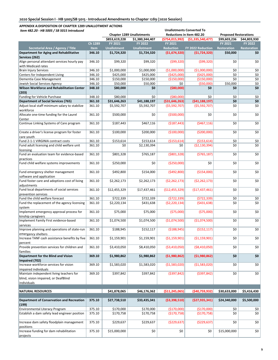| Item 482.20 - HB 5005 / SB 5015 Introduced                                   |                       | <b>Unallotments Converted To</b> |                                  |                                    |                                     |                              |                           |  |  |  |
|------------------------------------------------------------------------------|-----------------------|----------------------------------|----------------------------------|------------------------------------|-------------------------------------|------------------------------|---------------------------|--|--|--|
|                                                                              |                       |                                  | <b>Chapter 1289 Unallotments</b> |                                    | Reductions in Item 482.20           | <b>Proposed Restorations</b> |                           |  |  |  |
|                                                                              |                       | \$853,619,228                    | \$1,380,344,407                  | (\$754,015,992)                    | (\$1,335,540,477]                   | \$99,603,236                 | \$44,803,930              |  |  |  |
|                                                                              | Ch 1289               | FY 2021                          | <b>FY 2022</b>                   | FY 2021                            |                                     | FY 2021                      | FY 2022                   |  |  |  |
| Secretarial Area / Agency / Title<br>Department for Aging and Rehabilitative | <b>Item</b><br>346.10 | <b>Unallotment</b>               | <b>Unallotment</b>               | <b>Reduction</b><br>(51, 674, 320) | FY 2022 Reduction<br>(51, 724, 320) | <b>Restoration</b>           | <b>Restoration</b><br>\$0 |  |  |  |
| Services (262)                                                               |                       | \$1,724,320                      | \$1,724,320                      |                                    |                                     | \$50,000                     |                           |  |  |  |
| Align personal attendant services hourly pay                                 | 346.10                | \$99,320                         | \$99,320                         | (599,320)                          | (599, 320)                          | \$0                          | \$0                       |  |  |  |
| with Medicaid rates                                                          |                       |                                  |                                  |                                    |                                     |                              |                           |  |  |  |
| <b>Brain Injury Services</b>                                                 | 346.10                | \$1,000,000                      | \$1,000,000                      | (\$1,000,000)                      | (\$1,000,000)                       | \$0                          | \$0                       |  |  |  |
| Centers for Independent Living                                               | 346.10                | \$425,000                        | \$425,000                        | (5425,000)                         | (\$425,000)                         | \$0                          | \$0                       |  |  |  |
| Dementia Case Management                                                     | 346.10                | \$150,000                        | \$150,000                        | (\$150,000)                        | (\$150,000)                         | \$0                          | \$0                       |  |  |  |
| Jewish Social Services Agency                                                | 346.10                | \$50,000                         | \$50,000                         | \$0                                | ( \$50,000]                         | \$50,000                     | \$0                       |  |  |  |
| <b>Wilson Workforce and Rehabilitation Center</b><br>(203)                   | 348.10                | \$80,000                         | \$0                              | ( \$80,000)                        | \$0                                 | \$0                          | \$0                       |  |  |  |
| Funding for Vehicle Purchase                                                 | 348.10                | \$80,000                         | \$0                              | ( \$80,000)                        | \$0                                 | \$0                          | \$0                       |  |  |  |
| <b>Department of Social Services (765)</b>                                   | 361.10                | \$31,646,263                     | \$41,188,197                     | ( \$31,646,263)                    | ( \$41,188,197)                     | \$0                          | \$0                       |  |  |  |
| Adjust local staff minimum salary to stabilize                               | 361.10                | \$5,592,707                      | \$5,592,707                      | ( \$5,592,707)                     | ( \$5,592,707)                      | \$0                          | \$0                       |  |  |  |
| workforce                                                                    |                       |                                  |                                  |                                    |                                     |                              |                           |  |  |  |
| Allocate one-time funding for the Laurel<br>Center                           | 361.10                | \$500,000                        | \$0                              | ( \$500,000]                       | \$0                                 | \$0                          | \$0                       |  |  |  |
| Continue Linking Systems of Care program                                     | 361.10                | \$187,443                        | \$467,116                        | (\$187,443)                        | ( \$467, 116)                       | \$0                          | \$0                       |  |  |  |
| Create a driver's license program for foster                                 | 361.10                | \$100,000                        | \$200,000                        | (\$100,000)                        | ( \$200,000]                        | \$0                          | \$0                       |  |  |  |
| care youth<br>Fund 2-1-1 VIRGINIA contract costs                             | 361.10                | \$153,614                        | \$153,614                        | (\$153,614)                        | ( \$153, 614)                       | \$0                          | \$0                       |  |  |  |
| Fund adult licensing and child welfare unit                                  | 361.10                | \$0                              | \$2,130,394                      | \$0                                | ( \$2,130,394)                      | \$0                          | \$0                       |  |  |  |
| licensing                                                                    |                       |                                  |                                  |                                    |                                     |                              |                           |  |  |  |
| Fund an evaluation team for evidence-based                                   | 361.10                | \$801,328                        | \$765,187                        | ( \$801, 328)                      | (5765, 187)                         | \$0                          | \$0                       |  |  |  |
| practices                                                                    |                       |                                  |                                  |                                    |                                     |                              |                           |  |  |  |
| Fund child welfare systems improvements                                      | 361.10                | \$250,000                        | \$0                              | ( \$250,000)                       | \$0                                 | \$0                          | \$0                       |  |  |  |
| Fund emergency shelter management<br>software and application                | 361.10                | \$492,800                        | \$154,000                        | (5492,800)                         | (\$154,000)                         | \$0                          | \$0                       |  |  |  |
| Fund foster care and adoptions cost of living                                | 361.10                | \$2,262,173                      | \$2,262,173                      | ( \$2, 262, 173)                   | (52, 262, 173)                      | \$0                          | \$0                       |  |  |  |
| adjustments                                                                  |                       |                                  |                                  |                                    |                                     |                              |                           |  |  |  |
| Fund local departments of social services<br>prevention services             | 361.10                | \$12,455,329                     | \$17,437,461                     | (\$12,455,329)                     | (\$17,437,461)                      | \$0                          | \$0                       |  |  |  |
| Fund the child welfare forecast                                              | 361.10                | \$722,339                        | \$722,339                        | (5722, 339)                        | (\$722,339)                         | \$0                          | \$0                       |  |  |  |
| Fund the replacement of the agency licensing                                 | 361.10                | \$2,220,134                      | \$431,638                        | (52, 220, 134)                     | ( \$431, 638)                       | \$0                          | \$0                       |  |  |  |
| system<br>Implement emergency approval process for                           | 361.10                | \$75,000                         | \$75,000                         | (575,000)                          | (575,000)                           | \$0                          | \$0                       |  |  |  |
| kinship caregivers                                                           |                       |                                  |                                  |                                    |                                     |                              |                           |  |  |  |
| Implement Family First evidence-based                                        | 361.10                | \$1,074,500                      | \$1,074,500                      | ( \$1,074,500)                     | ( \$1,074,500)                      | \$0                          | \$0                       |  |  |  |
| services<br>Improve planning and operations of state-run                     | 361.10                | \$188,945                        | \$152,117                        | ( \$188, 945)                      | (\$152,117)                         | \$0                          | \$0                       |  |  |  |
| emergency shelters                                                           |                       |                                  |                                  |                                    |                                     |                              |                           |  |  |  |
| Increase TANF cash assistance benefits by five<br>percent                    | 361.10                | \$1,159,901                      | \$1,159,901                      | (\$1,159,901)                      | ( \$1,159,901)                      | \$0                          | \$0                       |  |  |  |
| Provide prevention services for children and                                 | 361.10                | \$3,410,050                      | \$8,410,050                      | ( \$3,410,050)                     | ( \$8,410,050)                      | \$0                          | \$0                       |  |  |  |
| families<br>Department for the Blind and Vision                              | 369.10                | \$1,980,862                      | \$1,980,862                      | ( \$1,980,862)                     | ( \$1,980,862)                      | \$0                          | \$0                       |  |  |  |
| Impaired (702)                                                               |                       |                                  |                                  |                                    |                                     |                              |                           |  |  |  |
| Increase workforce services for vision                                       | 369.10                | \$1,583,020                      | \$1,583,020                      | ( \$1,583,020)                     | ( \$1,583,020)                      | \$0                          | \$0                       |  |  |  |
| impaired individuals                                                         |                       |                                  |                                  |                                    |                                     |                              |                           |  |  |  |
| Maintain independent living teachers for                                     | 369.10                | \$397,842                        | \$397,842                        | ( \$397, 842)                      | ( \$397, 842)                       | \$0                          | \$0                       |  |  |  |
| blind, vision impaired, or DeafBlind                                         |                       |                                  |                                  |                                    |                                     |                              |                           |  |  |  |
| individuals                                                                  |                       |                                  |                                  |                                    |                                     |                              |                           |  |  |  |
|                                                                              |                       |                                  |                                  |                                    |                                     |                              |                           |  |  |  |
| <b>NATURAL RESOURCES</b>                                                     |                       | \$41,878,065                     | \$46,176,362                     | ( \$11, 245, 065)                  | ( \$40,759,932]                     | \$30,633,000                 | \$5,416,430               |  |  |  |
| Department of Conservation and Recreation<br>(199)                           | 375.10                | \$27,738,510                     | \$33,435,341                     | ( \$3,398,510]                     | ( \$27,935,341]                     | \$24,340,000                 | \$5,500,000               |  |  |  |
| Environmental Literacy Program                                               | 375.10                | \$170,000                        | \$170,000                        | (\$170,000)                        | (\$170,000)                         | \$0                          | \$0                       |  |  |  |
| Establish a dam safety lead engineer position                                | 375.10                | \$170,758                        | \$170,758                        | (\$170,758)                        | (\$170,758)                         | \$0                          | \$0                       |  |  |  |
| Increase dam safety floodplain management                                    | 375.10                | \$229,637                        | \$229,637                        | ( \$229, 637)                      | ( \$229, 637)                       | \$0                          | \$0                       |  |  |  |
| positions<br>Increase funding for dam rehabilitation                         | 375.10                | \$15,000,000                     | \$0                              | \$0                                | \$0                                 | \$15,000,000                 | \$0                       |  |  |  |
| projects                                                                     |                       |                                  |                                  |                                    |                                     |                              |                           |  |  |  |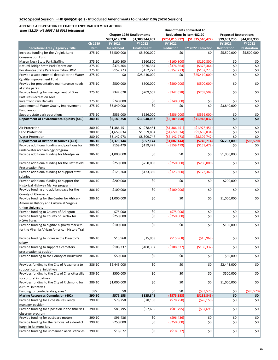| <b>Chapter 1289 Unallotments</b><br>Reductions in Item 482.20<br><b>Proposed Restorations</b><br>\$853,619,228<br>\$1,380,344,407<br>(\$754,015,992)<br>(51, 335, 540, 477)<br>\$99,603,236<br>\$44,803,930<br>Ch 1289<br>FY 2021<br><b>FY 2021</b><br>FY 2021<br><b>FY 2022</b><br>FY 2022<br>Secretarial Area / Agency / Title<br><b>Unallotment</b><br><b>Unallotment</b><br><b>Reduction</b><br>FY 2022 Reduction<br><b>Item</b><br><b>Restoration</b><br><b>Restoration</b><br>375.10<br>\$5,500,000<br>\$5,500,000<br>\$0<br>\$0<br>\$5,500,000<br>\$5,500,000<br>Increase funding for the Virginia Land<br><b>Conservation Fund</b><br>375.10<br>( \$160, 800)<br>\$0<br>Mason Neck State Park Staffing<br>\$160,800<br>\$160,800<br>( \$160, 800)<br>\$0<br>\$0<br>375.10<br>Natural Bridge State Park Operations<br>\$376,364<br>\$376,364<br>( \$376, 364)<br>( \$376, 364)<br>\$0<br>\$0<br>375.10<br>Pocahontas State Park New Cabin O&M<br>\$152,273<br>\$152,273<br>( \$152, 273)<br>( \$152, 273)<br>\$0<br>\$0<br>\$0<br>375.10<br>\$0<br>\$25,410,000<br>\$0<br>(\$25,410,000)<br>Provide a supplemental deposit to the Water<br>Quality Improvement Fund<br>( \$500,000]<br>( \$500,000]<br>\$0<br>\$0<br>Provide for preventative maintenance needs<br>375.10<br>\$500,000<br>\$500,000<br>at state parks<br>Provide funding for management of Green<br>( \$209, 509)<br>\$0<br>\$0<br>375.10<br>\$209,509<br>( \$342, 678)<br>\$342,678<br>Pastures Recreation Area<br>375.10<br>( \$740,000]<br>\$0<br>\$0<br><b>Riverfront Park Danville</b><br>\$740,000<br>\$0<br>\$0<br>\$0<br>Supplemental Water Quality Improvement<br>375.10<br>\$0<br>\$0<br>\$3,840,000<br>\$0<br>\$3,840,000<br>Fund amount<br>Support state park operations<br>375.10<br>\$556,000<br>\$556,000<br>( \$556,000)<br>( \$556,000]<br>\$0<br>\$0<br>\$0<br>\$0<br>Department of Environmental Quality (440)<br>\$11,948,032<br>(56, 189, 258)<br>(511, 948, 032)<br>380.10<br>\$6,189,258<br>(51, 386, 451)<br>( \$1,978,451)<br>380.10<br>\$1,386,451<br>\$1,978,451<br>\$0<br>\$0<br>Air Protection<br>\$1,659,834<br>(51,659,834)<br>( \$1,659,834)<br>\$0<br>\$0<br>Land Protection<br>380.10<br>\$1,659,834<br>( \$3,142,973)<br>\$0<br>380.10<br>\$3,142,973<br>\$8,309,747<br>( \$8,309,747)<br>\$0<br><b>Water Protection</b><br>\$6,293,000<br>( \$83,570]<br><b>Department of Historic Resources (423)</b><br>386.10<br>\$7,375,144<br>\$657,144<br>(\$1,082,144)<br>(5740, 714)<br>Provide additional funding and positions for<br>386.10<br>\$159,479<br>\$159,479<br>( \$159,479)<br>\$0<br>\$0<br>( \$159,479)<br>underwater archaeology program<br>\$0<br>\$0<br>Provide additional funding for Montpelier<br>386.10<br>\$1,000,000<br>\$0<br>\$0<br>\$1,000,000<br>Provide additional funding for the Battlefield<br>( \$250,000)<br>( \$250,000]<br>\$0<br>386.10<br>\$250,000<br>\$250,000<br>\$0<br><b>Preservation Fund</b><br>Provide additional funding to support staff<br>\$0<br>386.10<br>\$123,360<br>\$123,360<br>(\$123,360)<br>( \$123, 360)<br>\$0<br>salaries<br>Provide additional funding to support the<br>386.10<br>\$0<br>\$0<br>\$0<br>\$200,000<br>\$0<br>\$200,000<br>Historical Highway Marker program<br>\$0<br>\$0<br>(\$100,000)<br>\$0<br>\$0<br>Provide funding and add language for the<br>386.10<br>\$100,000<br>County of Gloucester<br>Provide funding for the Center for African-<br>386.10<br>\$1,000,000<br>\$0<br>\$0<br>\$0<br>\$1,000,000<br>\$0<br>American History and Culture at Virginia<br><b>Union University</b><br>Provide funding to County of Arlington<br>(\$75,000)<br>\$0<br>386.10<br>\$75,000<br>\$0<br>\$0<br>\$0<br>\$0<br>Provide funding to County of Fairfax for<br>386.10<br>\$0<br>( \$250,000)<br>\$0<br>\$0<br>\$250,000<br><b>NOVA Parks</b><br>Provide funding to digitize highway markers<br>\$0<br>\$0<br>386.10<br>\$0<br>\$0<br>\$100,000<br>\$100,000<br>for the Virginia African American History Trail<br>Provide funding to increase the Director's<br>( \$15,968)<br>( \$15,968)<br>\$0<br>386.10<br>\$15,968<br>\$15,968<br>\$0<br>salary<br>(\$108,337)<br>\$0<br>386.10<br>\$108,337<br>( \$108, 337)<br>\$0<br>Provide funding to support a cemetery<br>\$108,337<br>preservationist position<br>Provide funding to the County of Brunswick<br>\$0<br>\$0<br>\$0<br>386.10<br>\$50,000<br>\$0<br>\$50,000<br>\$0<br>\$0<br>\$0<br>\$2,443,000<br>Provides funding to the City of Alexandria to<br>386.10<br>\$2,443,000<br>\$0<br>support cultural initiatives<br>Provides funding to the City of Charlottesville<br>386.10<br>\$0<br>\$0<br>\$0<br>\$500,000<br>\$0<br>\$500,000<br>for cultural initiatives<br>Provides funding to the City of Richmond for<br>386.10<br>\$0<br>\$0<br>\$0<br>\$1,000,000<br>\$0<br>\$1,000,000<br>cultural initiatives<br>Funding for confederate graves*<br>385<br>\$0<br>\$0<br>( \$83,570)<br>\$0<br>\$0<br>390.10<br>( \$575,153)<br>\$0<br><b>Marine Resources Commission (402)</b><br>\$575,153<br>\$135,845<br>( \$135, 845)<br>\$0<br>Provide funding for a coastal resiliency<br>\$78,150<br>(578, 250)<br>(578, 150)<br>\$0<br>\$0<br>390.10<br>\$78,250<br>manager position<br>Provide funding for a position in the fisheries<br>390.10<br>\$81,795<br>\$57,695<br>( \$81,795)<br>(557, 695)<br>\$0<br>\$0<br>observer program<br>Provide funding for outboard motors<br>390.10<br>\$96,436<br>( \$96,436)<br>\$0<br>\$0<br>\$0<br>\$0<br>\$0<br>\$0<br>Provide funding for the removal of a derelict<br>\$0<br>( \$250,000)<br>\$0<br>390.10<br>\$250,000<br>barge in Belmont Bay<br>Provide funding for unmanned aerial vehicles<br>390.10<br>\$0<br>\$0<br>\$0<br>\$18,672<br>\$0<br>( \$18,672) | Item 482.20 - HB 5005 / SB 5015 Introduced |  | <b>Unallotments Converted To</b> |  |  |
|-----------------------------------------------------------------------------------------------------------------------------------------------------------------------------------------------------------------------------------------------------------------------------------------------------------------------------------------------------------------------------------------------------------------------------------------------------------------------------------------------------------------------------------------------------------------------------------------------------------------------------------------------------------------------------------------------------------------------------------------------------------------------------------------------------------------------------------------------------------------------------------------------------------------------------------------------------------------------------------------------------------------------------------------------------------------------------------------------------------------------------------------------------------------------------------------------------------------------------------------------------------------------------------------------------------------------------------------------------------------------------------------------------------------------------------------------------------------------------------------------------------------------------------------------------------------------------------------------------------------------------------------------------------------------------------------------------------------------------------------------------------------------------------------------------------------------------------------------------------------------------------------------------------------------------------------------------------------------------------------------------------------------------------------------------------------------------------------------------------------------------------------------------------------------------------------------------------------------------------------------------------------------------------------------------------------------------------------------------------------------------------------------------------------------------------------------------------------------------------------------------------------------------------------------------------------------------------------------------------------------------------------------------------------------------------------------------------------------------------------------------------------------------------------------------------------------------------------------------------------------------------------------------------------------------------------------------------------------------------------------------------------------------------------------------------------------------------------------------------------------------------------------------------------------------------------------------------------------------------------------------------------------------------------------------------------------------------------------------------------------------------------------------------------------------------------------------------------------------------------------------------------------------------------------------------------------------------------------------------------------------------------------------------------------------------------------------------------------------------------------------------------------------------------------------------------------------------------------------------------------------------------------------------------------------------------------------------------------------------------------------------------------------------------------------------------------------------------------------------------------------------------------------------------------------------------------------------------------------------------------------------------------------------------------------------------------------------------------------------------------------------------------------------------------------------------------------------------------------------------------------------------------------------------------------------------------------------------------------------------------------------------------------------------------------------------------------------------------------------------------------------------------------------------------------------------------------------------------------------------------------------------------------------------------------------------------------------------------------------------------------------------------------------------------------------------------------------------------------------------------------------------------------------------------------------------------------------------------------------------------------------------------------------------------------------------------------------------------------------------------------------------------------------------------------------------------------------------------------------------------------------------------------------------------------------------------------------------------------------------------------------------------------------------------------------------------------------------------------------------------|--------------------------------------------|--|----------------------------------|--|--|
|                                                                                                                                                                                                                                                                                                                                                                                                                                                                                                                                                                                                                                                                                                                                                                                                                                                                                                                                                                                                                                                                                                                                                                                                                                                                                                                                                                                                                                                                                                                                                                                                                                                                                                                                                                                                                                                                                                                                                                                                                                                                                                                                                                                                                                                                                                                                                                                                                                                                                                                                                                                                                                                                                                                                                                                                                                                                                                                                                                                                                                                                                                                                                                                                                                                                                                                                                                                                                                                                                                                                                                                                                                                                                                                                                                                                                                                                                                                                                                                                                                                                                                                                                                                                                                                                                                                                                                                                                                                                                                                                                                                                                                                                                                                                                                                                                                                                                                                                                                                                                                                                                                                                                                                                                                                                                                                                                                                                                                                                                                                                                                                                                                                                                                                                               |                                            |  |                                  |  |  |
|                                                                                                                                                                                                                                                                                                                                                                                                                                                                                                                                                                                                                                                                                                                                                                                                                                                                                                                                                                                                                                                                                                                                                                                                                                                                                                                                                                                                                                                                                                                                                                                                                                                                                                                                                                                                                                                                                                                                                                                                                                                                                                                                                                                                                                                                                                                                                                                                                                                                                                                                                                                                                                                                                                                                                                                                                                                                                                                                                                                                                                                                                                                                                                                                                                                                                                                                                                                                                                                                                                                                                                                                                                                                                                                                                                                                                                                                                                                                                                                                                                                                                                                                                                                                                                                                                                                                                                                                                                                                                                                                                                                                                                                                                                                                                                                                                                                                                                                                                                                                                                                                                                                                                                                                                                                                                                                                                                                                                                                                                                                                                                                                                                                                                                                                               |                                            |  |                                  |  |  |
|                                                                                                                                                                                                                                                                                                                                                                                                                                                                                                                                                                                                                                                                                                                                                                                                                                                                                                                                                                                                                                                                                                                                                                                                                                                                                                                                                                                                                                                                                                                                                                                                                                                                                                                                                                                                                                                                                                                                                                                                                                                                                                                                                                                                                                                                                                                                                                                                                                                                                                                                                                                                                                                                                                                                                                                                                                                                                                                                                                                                                                                                                                                                                                                                                                                                                                                                                                                                                                                                                                                                                                                                                                                                                                                                                                                                                                                                                                                                                                                                                                                                                                                                                                                                                                                                                                                                                                                                                                                                                                                                                                                                                                                                                                                                                                                                                                                                                                                                                                                                                                                                                                                                                                                                                                                                                                                                                                                                                                                                                                                                                                                                                                                                                                                                               |                                            |  |                                  |  |  |
|                                                                                                                                                                                                                                                                                                                                                                                                                                                                                                                                                                                                                                                                                                                                                                                                                                                                                                                                                                                                                                                                                                                                                                                                                                                                                                                                                                                                                                                                                                                                                                                                                                                                                                                                                                                                                                                                                                                                                                                                                                                                                                                                                                                                                                                                                                                                                                                                                                                                                                                                                                                                                                                                                                                                                                                                                                                                                                                                                                                                                                                                                                                                                                                                                                                                                                                                                                                                                                                                                                                                                                                                                                                                                                                                                                                                                                                                                                                                                                                                                                                                                                                                                                                                                                                                                                                                                                                                                                                                                                                                                                                                                                                                                                                                                                                                                                                                                                                                                                                                                                                                                                                                                                                                                                                                                                                                                                                                                                                                                                                                                                                                                                                                                                                                               |                                            |  |                                  |  |  |
|                                                                                                                                                                                                                                                                                                                                                                                                                                                                                                                                                                                                                                                                                                                                                                                                                                                                                                                                                                                                                                                                                                                                                                                                                                                                                                                                                                                                                                                                                                                                                                                                                                                                                                                                                                                                                                                                                                                                                                                                                                                                                                                                                                                                                                                                                                                                                                                                                                                                                                                                                                                                                                                                                                                                                                                                                                                                                                                                                                                                                                                                                                                                                                                                                                                                                                                                                                                                                                                                                                                                                                                                                                                                                                                                                                                                                                                                                                                                                                                                                                                                                                                                                                                                                                                                                                                                                                                                                                                                                                                                                                                                                                                                                                                                                                                                                                                                                                                                                                                                                                                                                                                                                                                                                                                                                                                                                                                                                                                                                                                                                                                                                                                                                                                                               |                                            |  |                                  |  |  |
|                                                                                                                                                                                                                                                                                                                                                                                                                                                                                                                                                                                                                                                                                                                                                                                                                                                                                                                                                                                                                                                                                                                                                                                                                                                                                                                                                                                                                                                                                                                                                                                                                                                                                                                                                                                                                                                                                                                                                                                                                                                                                                                                                                                                                                                                                                                                                                                                                                                                                                                                                                                                                                                                                                                                                                                                                                                                                                                                                                                                                                                                                                                                                                                                                                                                                                                                                                                                                                                                                                                                                                                                                                                                                                                                                                                                                                                                                                                                                                                                                                                                                                                                                                                                                                                                                                                                                                                                                                                                                                                                                                                                                                                                                                                                                                                                                                                                                                                                                                                                                                                                                                                                                                                                                                                                                                                                                                                                                                                                                                                                                                                                                                                                                                                                               |                                            |  |                                  |  |  |
|                                                                                                                                                                                                                                                                                                                                                                                                                                                                                                                                                                                                                                                                                                                                                                                                                                                                                                                                                                                                                                                                                                                                                                                                                                                                                                                                                                                                                                                                                                                                                                                                                                                                                                                                                                                                                                                                                                                                                                                                                                                                                                                                                                                                                                                                                                                                                                                                                                                                                                                                                                                                                                                                                                                                                                                                                                                                                                                                                                                                                                                                                                                                                                                                                                                                                                                                                                                                                                                                                                                                                                                                                                                                                                                                                                                                                                                                                                                                                                                                                                                                                                                                                                                                                                                                                                                                                                                                                                                                                                                                                                                                                                                                                                                                                                                                                                                                                                                                                                                                                                                                                                                                                                                                                                                                                                                                                                                                                                                                                                                                                                                                                                                                                                                                               |                                            |  |                                  |  |  |
|                                                                                                                                                                                                                                                                                                                                                                                                                                                                                                                                                                                                                                                                                                                                                                                                                                                                                                                                                                                                                                                                                                                                                                                                                                                                                                                                                                                                                                                                                                                                                                                                                                                                                                                                                                                                                                                                                                                                                                                                                                                                                                                                                                                                                                                                                                                                                                                                                                                                                                                                                                                                                                                                                                                                                                                                                                                                                                                                                                                                                                                                                                                                                                                                                                                                                                                                                                                                                                                                                                                                                                                                                                                                                                                                                                                                                                                                                                                                                                                                                                                                                                                                                                                                                                                                                                                                                                                                                                                                                                                                                                                                                                                                                                                                                                                                                                                                                                                                                                                                                                                                                                                                                                                                                                                                                                                                                                                                                                                                                                                                                                                                                                                                                                                                               |                                            |  |                                  |  |  |
|                                                                                                                                                                                                                                                                                                                                                                                                                                                                                                                                                                                                                                                                                                                                                                                                                                                                                                                                                                                                                                                                                                                                                                                                                                                                                                                                                                                                                                                                                                                                                                                                                                                                                                                                                                                                                                                                                                                                                                                                                                                                                                                                                                                                                                                                                                                                                                                                                                                                                                                                                                                                                                                                                                                                                                                                                                                                                                                                                                                                                                                                                                                                                                                                                                                                                                                                                                                                                                                                                                                                                                                                                                                                                                                                                                                                                                                                                                                                                                                                                                                                                                                                                                                                                                                                                                                                                                                                                                                                                                                                                                                                                                                                                                                                                                                                                                                                                                                                                                                                                                                                                                                                                                                                                                                                                                                                                                                                                                                                                                                                                                                                                                                                                                                                               |                                            |  |                                  |  |  |
|                                                                                                                                                                                                                                                                                                                                                                                                                                                                                                                                                                                                                                                                                                                                                                                                                                                                                                                                                                                                                                                                                                                                                                                                                                                                                                                                                                                                                                                                                                                                                                                                                                                                                                                                                                                                                                                                                                                                                                                                                                                                                                                                                                                                                                                                                                                                                                                                                                                                                                                                                                                                                                                                                                                                                                                                                                                                                                                                                                                                                                                                                                                                                                                                                                                                                                                                                                                                                                                                                                                                                                                                                                                                                                                                                                                                                                                                                                                                                                                                                                                                                                                                                                                                                                                                                                                                                                                                                                                                                                                                                                                                                                                                                                                                                                                                                                                                                                                                                                                                                                                                                                                                                                                                                                                                                                                                                                                                                                                                                                                                                                                                                                                                                                                                               |                                            |  |                                  |  |  |
|                                                                                                                                                                                                                                                                                                                                                                                                                                                                                                                                                                                                                                                                                                                                                                                                                                                                                                                                                                                                                                                                                                                                                                                                                                                                                                                                                                                                                                                                                                                                                                                                                                                                                                                                                                                                                                                                                                                                                                                                                                                                                                                                                                                                                                                                                                                                                                                                                                                                                                                                                                                                                                                                                                                                                                                                                                                                                                                                                                                                                                                                                                                                                                                                                                                                                                                                                                                                                                                                                                                                                                                                                                                                                                                                                                                                                                                                                                                                                                                                                                                                                                                                                                                                                                                                                                                                                                                                                                                                                                                                                                                                                                                                                                                                                                                                                                                                                                                                                                                                                                                                                                                                                                                                                                                                                                                                                                                                                                                                                                                                                                                                                                                                                                                                               |                                            |  |                                  |  |  |
|                                                                                                                                                                                                                                                                                                                                                                                                                                                                                                                                                                                                                                                                                                                                                                                                                                                                                                                                                                                                                                                                                                                                                                                                                                                                                                                                                                                                                                                                                                                                                                                                                                                                                                                                                                                                                                                                                                                                                                                                                                                                                                                                                                                                                                                                                                                                                                                                                                                                                                                                                                                                                                                                                                                                                                                                                                                                                                                                                                                                                                                                                                                                                                                                                                                                                                                                                                                                                                                                                                                                                                                                                                                                                                                                                                                                                                                                                                                                                                                                                                                                                                                                                                                                                                                                                                                                                                                                                                                                                                                                                                                                                                                                                                                                                                                                                                                                                                                                                                                                                                                                                                                                                                                                                                                                                                                                                                                                                                                                                                                                                                                                                                                                                                                                               |                                            |  |                                  |  |  |
|                                                                                                                                                                                                                                                                                                                                                                                                                                                                                                                                                                                                                                                                                                                                                                                                                                                                                                                                                                                                                                                                                                                                                                                                                                                                                                                                                                                                                                                                                                                                                                                                                                                                                                                                                                                                                                                                                                                                                                                                                                                                                                                                                                                                                                                                                                                                                                                                                                                                                                                                                                                                                                                                                                                                                                                                                                                                                                                                                                                                                                                                                                                                                                                                                                                                                                                                                                                                                                                                                                                                                                                                                                                                                                                                                                                                                                                                                                                                                                                                                                                                                                                                                                                                                                                                                                                                                                                                                                                                                                                                                                                                                                                                                                                                                                                                                                                                                                                                                                                                                                                                                                                                                                                                                                                                                                                                                                                                                                                                                                                                                                                                                                                                                                                                               |                                            |  |                                  |  |  |
|                                                                                                                                                                                                                                                                                                                                                                                                                                                                                                                                                                                                                                                                                                                                                                                                                                                                                                                                                                                                                                                                                                                                                                                                                                                                                                                                                                                                                                                                                                                                                                                                                                                                                                                                                                                                                                                                                                                                                                                                                                                                                                                                                                                                                                                                                                                                                                                                                                                                                                                                                                                                                                                                                                                                                                                                                                                                                                                                                                                                                                                                                                                                                                                                                                                                                                                                                                                                                                                                                                                                                                                                                                                                                                                                                                                                                                                                                                                                                                                                                                                                                                                                                                                                                                                                                                                                                                                                                                                                                                                                                                                                                                                                                                                                                                                                                                                                                                                                                                                                                                                                                                                                                                                                                                                                                                                                                                                                                                                                                                                                                                                                                                                                                                                                               |                                            |  |                                  |  |  |
|                                                                                                                                                                                                                                                                                                                                                                                                                                                                                                                                                                                                                                                                                                                                                                                                                                                                                                                                                                                                                                                                                                                                                                                                                                                                                                                                                                                                                                                                                                                                                                                                                                                                                                                                                                                                                                                                                                                                                                                                                                                                                                                                                                                                                                                                                                                                                                                                                                                                                                                                                                                                                                                                                                                                                                                                                                                                                                                                                                                                                                                                                                                                                                                                                                                                                                                                                                                                                                                                                                                                                                                                                                                                                                                                                                                                                                                                                                                                                                                                                                                                                                                                                                                                                                                                                                                                                                                                                                                                                                                                                                                                                                                                                                                                                                                                                                                                                                                                                                                                                                                                                                                                                                                                                                                                                                                                                                                                                                                                                                                                                                                                                                                                                                                                               |                                            |  |                                  |  |  |
|                                                                                                                                                                                                                                                                                                                                                                                                                                                                                                                                                                                                                                                                                                                                                                                                                                                                                                                                                                                                                                                                                                                                                                                                                                                                                                                                                                                                                                                                                                                                                                                                                                                                                                                                                                                                                                                                                                                                                                                                                                                                                                                                                                                                                                                                                                                                                                                                                                                                                                                                                                                                                                                                                                                                                                                                                                                                                                                                                                                                                                                                                                                                                                                                                                                                                                                                                                                                                                                                                                                                                                                                                                                                                                                                                                                                                                                                                                                                                                                                                                                                                                                                                                                                                                                                                                                                                                                                                                                                                                                                                                                                                                                                                                                                                                                                                                                                                                                                                                                                                                                                                                                                                                                                                                                                                                                                                                                                                                                                                                                                                                                                                                                                                                                                               |                                            |  |                                  |  |  |
|                                                                                                                                                                                                                                                                                                                                                                                                                                                                                                                                                                                                                                                                                                                                                                                                                                                                                                                                                                                                                                                                                                                                                                                                                                                                                                                                                                                                                                                                                                                                                                                                                                                                                                                                                                                                                                                                                                                                                                                                                                                                                                                                                                                                                                                                                                                                                                                                                                                                                                                                                                                                                                                                                                                                                                                                                                                                                                                                                                                                                                                                                                                                                                                                                                                                                                                                                                                                                                                                                                                                                                                                                                                                                                                                                                                                                                                                                                                                                                                                                                                                                                                                                                                                                                                                                                                                                                                                                                                                                                                                                                                                                                                                                                                                                                                                                                                                                                                                                                                                                                                                                                                                                                                                                                                                                                                                                                                                                                                                                                                                                                                                                                                                                                                                               |                                            |  |                                  |  |  |
|                                                                                                                                                                                                                                                                                                                                                                                                                                                                                                                                                                                                                                                                                                                                                                                                                                                                                                                                                                                                                                                                                                                                                                                                                                                                                                                                                                                                                                                                                                                                                                                                                                                                                                                                                                                                                                                                                                                                                                                                                                                                                                                                                                                                                                                                                                                                                                                                                                                                                                                                                                                                                                                                                                                                                                                                                                                                                                                                                                                                                                                                                                                                                                                                                                                                                                                                                                                                                                                                                                                                                                                                                                                                                                                                                                                                                                                                                                                                                                                                                                                                                                                                                                                                                                                                                                                                                                                                                                                                                                                                                                                                                                                                                                                                                                                                                                                                                                                                                                                                                                                                                                                                                                                                                                                                                                                                                                                                                                                                                                                                                                                                                                                                                                                                               |                                            |  |                                  |  |  |
|                                                                                                                                                                                                                                                                                                                                                                                                                                                                                                                                                                                                                                                                                                                                                                                                                                                                                                                                                                                                                                                                                                                                                                                                                                                                                                                                                                                                                                                                                                                                                                                                                                                                                                                                                                                                                                                                                                                                                                                                                                                                                                                                                                                                                                                                                                                                                                                                                                                                                                                                                                                                                                                                                                                                                                                                                                                                                                                                                                                                                                                                                                                                                                                                                                                                                                                                                                                                                                                                                                                                                                                                                                                                                                                                                                                                                                                                                                                                                                                                                                                                                                                                                                                                                                                                                                                                                                                                                                                                                                                                                                                                                                                                                                                                                                                                                                                                                                                                                                                                                                                                                                                                                                                                                                                                                                                                                                                                                                                                                                                                                                                                                                                                                                                                               |                                            |  |                                  |  |  |
|                                                                                                                                                                                                                                                                                                                                                                                                                                                                                                                                                                                                                                                                                                                                                                                                                                                                                                                                                                                                                                                                                                                                                                                                                                                                                                                                                                                                                                                                                                                                                                                                                                                                                                                                                                                                                                                                                                                                                                                                                                                                                                                                                                                                                                                                                                                                                                                                                                                                                                                                                                                                                                                                                                                                                                                                                                                                                                                                                                                                                                                                                                                                                                                                                                                                                                                                                                                                                                                                                                                                                                                                                                                                                                                                                                                                                                                                                                                                                                                                                                                                                                                                                                                                                                                                                                                                                                                                                                                                                                                                                                                                                                                                                                                                                                                                                                                                                                                                                                                                                                                                                                                                                                                                                                                                                                                                                                                                                                                                                                                                                                                                                                                                                                                                               |                                            |  |                                  |  |  |
|                                                                                                                                                                                                                                                                                                                                                                                                                                                                                                                                                                                                                                                                                                                                                                                                                                                                                                                                                                                                                                                                                                                                                                                                                                                                                                                                                                                                                                                                                                                                                                                                                                                                                                                                                                                                                                                                                                                                                                                                                                                                                                                                                                                                                                                                                                                                                                                                                                                                                                                                                                                                                                                                                                                                                                                                                                                                                                                                                                                                                                                                                                                                                                                                                                                                                                                                                                                                                                                                                                                                                                                                                                                                                                                                                                                                                                                                                                                                                                                                                                                                                                                                                                                                                                                                                                                                                                                                                                                                                                                                                                                                                                                                                                                                                                                                                                                                                                                                                                                                                                                                                                                                                                                                                                                                                                                                                                                                                                                                                                                                                                                                                                                                                                                                               |                                            |  |                                  |  |  |
|                                                                                                                                                                                                                                                                                                                                                                                                                                                                                                                                                                                                                                                                                                                                                                                                                                                                                                                                                                                                                                                                                                                                                                                                                                                                                                                                                                                                                                                                                                                                                                                                                                                                                                                                                                                                                                                                                                                                                                                                                                                                                                                                                                                                                                                                                                                                                                                                                                                                                                                                                                                                                                                                                                                                                                                                                                                                                                                                                                                                                                                                                                                                                                                                                                                                                                                                                                                                                                                                                                                                                                                                                                                                                                                                                                                                                                                                                                                                                                                                                                                                                                                                                                                                                                                                                                                                                                                                                                                                                                                                                                                                                                                                                                                                                                                                                                                                                                                                                                                                                                                                                                                                                                                                                                                                                                                                                                                                                                                                                                                                                                                                                                                                                                                                               |                                            |  |                                  |  |  |
|                                                                                                                                                                                                                                                                                                                                                                                                                                                                                                                                                                                                                                                                                                                                                                                                                                                                                                                                                                                                                                                                                                                                                                                                                                                                                                                                                                                                                                                                                                                                                                                                                                                                                                                                                                                                                                                                                                                                                                                                                                                                                                                                                                                                                                                                                                                                                                                                                                                                                                                                                                                                                                                                                                                                                                                                                                                                                                                                                                                                                                                                                                                                                                                                                                                                                                                                                                                                                                                                                                                                                                                                                                                                                                                                                                                                                                                                                                                                                                                                                                                                                                                                                                                                                                                                                                                                                                                                                                                                                                                                                                                                                                                                                                                                                                                                                                                                                                                                                                                                                                                                                                                                                                                                                                                                                                                                                                                                                                                                                                                                                                                                                                                                                                                                               |                                            |  |                                  |  |  |
|                                                                                                                                                                                                                                                                                                                                                                                                                                                                                                                                                                                                                                                                                                                                                                                                                                                                                                                                                                                                                                                                                                                                                                                                                                                                                                                                                                                                                                                                                                                                                                                                                                                                                                                                                                                                                                                                                                                                                                                                                                                                                                                                                                                                                                                                                                                                                                                                                                                                                                                                                                                                                                                                                                                                                                                                                                                                                                                                                                                                                                                                                                                                                                                                                                                                                                                                                                                                                                                                                                                                                                                                                                                                                                                                                                                                                                                                                                                                                                                                                                                                                                                                                                                                                                                                                                                                                                                                                                                                                                                                                                                                                                                                                                                                                                                                                                                                                                                                                                                                                                                                                                                                                                                                                                                                                                                                                                                                                                                                                                                                                                                                                                                                                                                                               |                                            |  |                                  |  |  |
|                                                                                                                                                                                                                                                                                                                                                                                                                                                                                                                                                                                                                                                                                                                                                                                                                                                                                                                                                                                                                                                                                                                                                                                                                                                                                                                                                                                                                                                                                                                                                                                                                                                                                                                                                                                                                                                                                                                                                                                                                                                                                                                                                                                                                                                                                                                                                                                                                                                                                                                                                                                                                                                                                                                                                                                                                                                                                                                                                                                                                                                                                                                                                                                                                                                                                                                                                                                                                                                                                                                                                                                                                                                                                                                                                                                                                                                                                                                                                                                                                                                                                                                                                                                                                                                                                                                                                                                                                                                                                                                                                                                                                                                                                                                                                                                                                                                                                                                                                                                                                                                                                                                                                                                                                                                                                                                                                                                                                                                                                                                                                                                                                                                                                                                                               |                                            |  |                                  |  |  |
|                                                                                                                                                                                                                                                                                                                                                                                                                                                                                                                                                                                                                                                                                                                                                                                                                                                                                                                                                                                                                                                                                                                                                                                                                                                                                                                                                                                                                                                                                                                                                                                                                                                                                                                                                                                                                                                                                                                                                                                                                                                                                                                                                                                                                                                                                                                                                                                                                                                                                                                                                                                                                                                                                                                                                                                                                                                                                                                                                                                                                                                                                                                                                                                                                                                                                                                                                                                                                                                                                                                                                                                                                                                                                                                                                                                                                                                                                                                                                                                                                                                                                                                                                                                                                                                                                                                                                                                                                                                                                                                                                                                                                                                                                                                                                                                                                                                                                                                                                                                                                                                                                                                                                                                                                                                                                                                                                                                                                                                                                                                                                                                                                                                                                                                                               |                                            |  |                                  |  |  |
|                                                                                                                                                                                                                                                                                                                                                                                                                                                                                                                                                                                                                                                                                                                                                                                                                                                                                                                                                                                                                                                                                                                                                                                                                                                                                                                                                                                                                                                                                                                                                                                                                                                                                                                                                                                                                                                                                                                                                                                                                                                                                                                                                                                                                                                                                                                                                                                                                                                                                                                                                                                                                                                                                                                                                                                                                                                                                                                                                                                                                                                                                                                                                                                                                                                                                                                                                                                                                                                                                                                                                                                                                                                                                                                                                                                                                                                                                                                                                                                                                                                                                                                                                                                                                                                                                                                                                                                                                                                                                                                                                                                                                                                                                                                                                                                                                                                                                                                                                                                                                                                                                                                                                                                                                                                                                                                                                                                                                                                                                                                                                                                                                                                                                                                                               |                                            |  |                                  |  |  |
|                                                                                                                                                                                                                                                                                                                                                                                                                                                                                                                                                                                                                                                                                                                                                                                                                                                                                                                                                                                                                                                                                                                                                                                                                                                                                                                                                                                                                                                                                                                                                                                                                                                                                                                                                                                                                                                                                                                                                                                                                                                                                                                                                                                                                                                                                                                                                                                                                                                                                                                                                                                                                                                                                                                                                                                                                                                                                                                                                                                                                                                                                                                                                                                                                                                                                                                                                                                                                                                                                                                                                                                                                                                                                                                                                                                                                                                                                                                                                                                                                                                                                                                                                                                                                                                                                                                                                                                                                                                                                                                                                                                                                                                                                                                                                                                                                                                                                                                                                                                                                                                                                                                                                                                                                                                                                                                                                                                                                                                                                                                                                                                                                                                                                                                                               |                                            |  |                                  |  |  |
|                                                                                                                                                                                                                                                                                                                                                                                                                                                                                                                                                                                                                                                                                                                                                                                                                                                                                                                                                                                                                                                                                                                                                                                                                                                                                                                                                                                                                                                                                                                                                                                                                                                                                                                                                                                                                                                                                                                                                                                                                                                                                                                                                                                                                                                                                                                                                                                                                                                                                                                                                                                                                                                                                                                                                                                                                                                                                                                                                                                                                                                                                                                                                                                                                                                                                                                                                                                                                                                                                                                                                                                                                                                                                                                                                                                                                                                                                                                                                                                                                                                                                                                                                                                                                                                                                                                                                                                                                                                                                                                                                                                                                                                                                                                                                                                                                                                                                                                                                                                                                                                                                                                                                                                                                                                                                                                                                                                                                                                                                                                                                                                                                                                                                                                                               |                                            |  |                                  |  |  |
|                                                                                                                                                                                                                                                                                                                                                                                                                                                                                                                                                                                                                                                                                                                                                                                                                                                                                                                                                                                                                                                                                                                                                                                                                                                                                                                                                                                                                                                                                                                                                                                                                                                                                                                                                                                                                                                                                                                                                                                                                                                                                                                                                                                                                                                                                                                                                                                                                                                                                                                                                                                                                                                                                                                                                                                                                                                                                                                                                                                                                                                                                                                                                                                                                                                                                                                                                                                                                                                                                                                                                                                                                                                                                                                                                                                                                                                                                                                                                                                                                                                                                                                                                                                                                                                                                                                                                                                                                                                                                                                                                                                                                                                                                                                                                                                                                                                                                                                                                                                                                                                                                                                                                                                                                                                                                                                                                                                                                                                                                                                                                                                                                                                                                                                                               |                                            |  |                                  |  |  |
|                                                                                                                                                                                                                                                                                                                                                                                                                                                                                                                                                                                                                                                                                                                                                                                                                                                                                                                                                                                                                                                                                                                                                                                                                                                                                                                                                                                                                                                                                                                                                                                                                                                                                                                                                                                                                                                                                                                                                                                                                                                                                                                                                                                                                                                                                                                                                                                                                                                                                                                                                                                                                                                                                                                                                                                                                                                                                                                                                                                                                                                                                                                                                                                                                                                                                                                                                                                                                                                                                                                                                                                                                                                                                                                                                                                                                                                                                                                                                                                                                                                                                                                                                                                                                                                                                                                                                                                                                                                                                                                                                                                                                                                                                                                                                                                                                                                                                                                                                                                                                                                                                                                                                                                                                                                                                                                                                                                                                                                                                                                                                                                                                                                                                                                                               |                                            |  |                                  |  |  |
|                                                                                                                                                                                                                                                                                                                                                                                                                                                                                                                                                                                                                                                                                                                                                                                                                                                                                                                                                                                                                                                                                                                                                                                                                                                                                                                                                                                                                                                                                                                                                                                                                                                                                                                                                                                                                                                                                                                                                                                                                                                                                                                                                                                                                                                                                                                                                                                                                                                                                                                                                                                                                                                                                                                                                                                                                                                                                                                                                                                                                                                                                                                                                                                                                                                                                                                                                                                                                                                                                                                                                                                                                                                                                                                                                                                                                                                                                                                                                                                                                                                                                                                                                                                                                                                                                                                                                                                                                                                                                                                                                                                                                                                                                                                                                                                                                                                                                                                                                                                                                                                                                                                                                                                                                                                                                                                                                                                                                                                                                                                                                                                                                                                                                                                                               |                                            |  |                                  |  |  |
|                                                                                                                                                                                                                                                                                                                                                                                                                                                                                                                                                                                                                                                                                                                                                                                                                                                                                                                                                                                                                                                                                                                                                                                                                                                                                                                                                                                                                                                                                                                                                                                                                                                                                                                                                                                                                                                                                                                                                                                                                                                                                                                                                                                                                                                                                                                                                                                                                                                                                                                                                                                                                                                                                                                                                                                                                                                                                                                                                                                                                                                                                                                                                                                                                                                                                                                                                                                                                                                                                                                                                                                                                                                                                                                                                                                                                                                                                                                                                                                                                                                                                                                                                                                                                                                                                                                                                                                                                                                                                                                                                                                                                                                                                                                                                                                                                                                                                                                                                                                                                                                                                                                                                                                                                                                                                                                                                                                                                                                                                                                                                                                                                                                                                                                                               |                                            |  |                                  |  |  |
|                                                                                                                                                                                                                                                                                                                                                                                                                                                                                                                                                                                                                                                                                                                                                                                                                                                                                                                                                                                                                                                                                                                                                                                                                                                                                                                                                                                                                                                                                                                                                                                                                                                                                                                                                                                                                                                                                                                                                                                                                                                                                                                                                                                                                                                                                                                                                                                                                                                                                                                                                                                                                                                                                                                                                                                                                                                                                                                                                                                                                                                                                                                                                                                                                                                                                                                                                                                                                                                                                                                                                                                                                                                                                                                                                                                                                                                                                                                                                                                                                                                                                                                                                                                                                                                                                                                                                                                                                                                                                                                                                                                                                                                                                                                                                                                                                                                                                                                                                                                                                                                                                                                                                                                                                                                                                                                                                                                                                                                                                                                                                                                                                                                                                                                                               |                                            |  |                                  |  |  |
|                                                                                                                                                                                                                                                                                                                                                                                                                                                                                                                                                                                                                                                                                                                                                                                                                                                                                                                                                                                                                                                                                                                                                                                                                                                                                                                                                                                                                                                                                                                                                                                                                                                                                                                                                                                                                                                                                                                                                                                                                                                                                                                                                                                                                                                                                                                                                                                                                                                                                                                                                                                                                                                                                                                                                                                                                                                                                                                                                                                                                                                                                                                                                                                                                                                                                                                                                                                                                                                                                                                                                                                                                                                                                                                                                                                                                                                                                                                                                                                                                                                                                                                                                                                                                                                                                                                                                                                                                                                                                                                                                                                                                                                                                                                                                                                                                                                                                                                                                                                                                                                                                                                                                                                                                                                                                                                                                                                                                                                                                                                                                                                                                                                                                                                                               |                                            |  |                                  |  |  |
|                                                                                                                                                                                                                                                                                                                                                                                                                                                                                                                                                                                                                                                                                                                                                                                                                                                                                                                                                                                                                                                                                                                                                                                                                                                                                                                                                                                                                                                                                                                                                                                                                                                                                                                                                                                                                                                                                                                                                                                                                                                                                                                                                                                                                                                                                                                                                                                                                                                                                                                                                                                                                                                                                                                                                                                                                                                                                                                                                                                                                                                                                                                                                                                                                                                                                                                                                                                                                                                                                                                                                                                                                                                                                                                                                                                                                                                                                                                                                                                                                                                                                                                                                                                                                                                                                                                                                                                                                                                                                                                                                                                                                                                                                                                                                                                                                                                                                                                                                                                                                                                                                                                                                                                                                                                                                                                                                                                                                                                                                                                                                                                                                                                                                                                                               |                                            |  |                                  |  |  |
|                                                                                                                                                                                                                                                                                                                                                                                                                                                                                                                                                                                                                                                                                                                                                                                                                                                                                                                                                                                                                                                                                                                                                                                                                                                                                                                                                                                                                                                                                                                                                                                                                                                                                                                                                                                                                                                                                                                                                                                                                                                                                                                                                                                                                                                                                                                                                                                                                                                                                                                                                                                                                                                                                                                                                                                                                                                                                                                                                                                                                                                                                                                                                                                                                                                                                                                                                                                                                                                                                                                                                                                                                                                                                                                                                                                                                                                                                                                                                                                                                                                                                                                                                                                                                                                                                                                                                                                                                                                                                                                                                                                                                                                                                                                                                                                                                                                                                                                                                                                                                                                                                                                                                                                                                                                                                                                                                                                                                                                                                                                                                                                                                                                                                                                                               |                                            |  |                                  |  |  |
|                                                                                                                                                                                                                                                                                                                                                                                                                                                                                                                                                                                                                                                                                                                                                                                                                                                                                                                                                                                                                                                                                                                                                                                                                                                                                                                                                                                                                                                                                                                                                                                                                                                                                                                                                                                                                                                                                                                                                                                                                                                                                                                                                                                                                                                                                                                                                                                                                                                                                                                                                                                                                                                                                                                                                                                                                                                                                                                                                                                                                                                                                                                                                                                                                                                                                                                                                                                                                                                                                                                                                                                                                                                                                                                                                                                                                                                                                                                                                                                                                                                                                                                                                                                                                                                                                                                                                                                                                                                                                                                                                                                                                                                                                                                                                                                                                                                                                                                                                                                                                                                                                                                                                                                                                                                                                                                                                                                                                                                                                                                                                                                                                                                                                                                                               |                                            |  |                                  |  |  |
|                                                                                                                                                                                                                                                                                                                                                                                                                                                                                                                                                                                                                                                                                                                                                                                                                                                                                                                                                                                                                                                                                                                                                                                                                                                                                                                                                                                                                                                                                                                                                                                                                                                                                                                                                                                                                                                                                                                                                                                                                                                                                                                                                                                                                                                                                                                                                                                                                                                                                                                                                                                                                                                                                                                                                                                                                                                                                                                                                                                                                                                                                                                                                                                                                                                                                                                                                                                                                                                                                                                                                                                                                                                                                                                                                                                                                                                                                                                                                                                                                                                                                                                                                                                                                                                                                                                                                                                                                                                                                                                                                                                                                                                                                                                                                                                                                                                                                                                                                                                                                                                                                                                                                                                                                                                                                                                                                                                                                                                                                                                                                                                                                                                                                                                                               |                                            |  |                                  |  |  |
|                                                                                                                                                                                                                                                                                                                                                                                                                                                                                                                                                                                                                                                                                                                                                                                                                                                                                                                                                                                                                                                                                                                                                                                                                                                                                                                                                                                                                                                                                                                                                                                                                                                                                                                                                                                                                                                                                                                                                                                                                                                                                                                                                                                                                                                                                                                                                                                                                                                                                                                                                                                                                                                                                                                                                                                                                                                                                                                                                                                                                                                                                                                                                                                                                                                                                                                                                                                                                                                                                                                                                                                                                                                                                                                                                                                                                                                                                                                                                                                                                                                                                                                                                                                                                                                                                                                                                                                                                                                                                                                                                                                                                                                                                                                                                                                                                                                                                                                                                                                                                                                                                                                                                                                                                                                                                                                                                                                                                                                                                                                                                                                                                                                                                                                                               |                                            |  |                                  |  |  |
|                                                                                                                                                                                                                                                                                                                                                                                                                                                                                                                                                                                                                                                                                                                                                                                                                                                                                                                                                                                                                                                                                                                                                                                                                                                                                                                                                                                                                                                                                                                                                                                                                                                                                                                                                                                                                                                                                                                                                                                                                                                                                                                                                                                                                                                                                                                                                                                                                                                                                                                                                                                                                                                                                                                                                                                                                                                                                                                                                                                                                                                                                                                                                                                                                                                                                                                                                                                                                                                                                                                                                                                                                                                                                                                                                                                                                                                                                                                                                                                                                                                                                                                                                                                                                                                                                                                                                                                                                                                                                                                                                                                                                                                                                                                                                                                                                                                                                                                                                                                                                                                                                                                                                                                                                                                                                                                                                                                                                                                                                                                                                                                                                                                                                                                                               |                                            |  |                                  |  |  |
|                                                                                                                                                                                                                                                                                                                                                                                                                                                                                                                                                                                                                                                                                                                                                                                                                                                                                                                                                                                                                                                                                                                                                                                                                                                                                                                                                                                                                                                                                                                                                                                                                                                                                                                                                                                                                                                                                                                                                                                                                                                                                                                                                                                                                                                                                                                                                                                                                                                                                                                                                                                                                                                                                                                                                                                                                                                                                                                                                                                                                                                                                                                                                                                                                                                                                                                                                                                                                                                                                                                                                                                                                                                                                                                                                                                                                                                                                                                                                                                                                                                                                                                                                                                                                                                                                                                                                                                                                                                                                                                                                                                                                                                                                                                                                                                                                                                                                                                                                                                                                                                                                                                                                                                                                                                                                                                                                                                                                                                                                                                                                                                                                                                                                                                                               |                                            |  |                                  |  |  |
|                                                                                                                                                                                                                                                                                                                                                                                                                                                                                                                                                                                                                                                                                                                                                                                                                                                                                                                                                                                                                                                                                                                                                                                                                                                                                                                                                                                                                                                                                                                                                                                                                                                                                                                                                                                                                                                                                                                                                                                                                                                                                                                                                                                                                                                                                                                                                                                                                                                                                                                                                                                                                                                                                                                                                                                                                                                                                                                                                                                                                                                                                                                                                                                                                                                                                                                                                                                                                                                                                                                                                                                                                                                                                                                                                                                                                                                                                                                                                                                                                                                                                                                                                                                                                                                                                                                                                                                                                                                                                                                                                                                                                                                                                                                                                                                                                                                                                                                                                                                                                                                                                                                                                                                                                                                                                                                                                                                                                                                                                                                                                                                                                                                                                                                                               |                                            |  |                                  |  |  |
|                                                                                                                                                                                                                                                                                                                                                                                                                                                                                                                                                                                                                                                                                                                                                                                                                                                                                                                                                                                                                                                                                                                                                                                                                                                                                                                                                                                                                                                                                                                                                                                                                                                                                                                                                                                                                                                                                                                                                                                                                                                                                                                                                                                                                                                                                                                                                                                                                                                                                                                                                                                                                                                                                                                                                                                                                                                                                                                                                                                                                                                                                                                                                                                                                                                                                                                                                                                                                                                                                                                                                                                                                                                                                                                                                                                                                                                                                                                                                                                                                                                                                                                                                                                                                                                                                                                                                                                                                                                                                                                                                                                                                                                                                                                                                                                                                                                                                                                                                                                                                                                                                                                                                                                                                                                                                                                                                                                                                                                                                                                                                                                                                                                                                                                                               |                                            |  |                                  |  |  |
|                                                                                                                                                                                                                                                                                                                                                                                                                                                                                                                                                                                                                                                                                                                                                                                                                                                                                                                                                                                                                                                                                                                                                                                                                                                                                                                                                                                                                                                                                                                                                                                                                                                                                                                                                                                                                                                                                                                                                                                                                                                                                                                                                                                                                                                                                                                                                                                                                                                                                                                                                                                                                                                                                                                                                                                                                                                                                                                                                                                                                                                                                                                                                                                                                                                                                                                                                                                                                                                                                                                                                                                                                                                                                                                                                                                                                                                                                                                                                                                                                                                                                                                                                                                                                                                                                                                                                                                                                                                                                                                                                                                                                                                                                                                                                                                                                                                                                                                                                                                                                                                                                                                                                                                                                                                                                                                                                                                                                                                                                                                                                                                                                                                                                                                                               |                                            |  |                                  |  |  |
|                                                                                                                                                                                                                                                                                                                                                                                                                                                                                                                                                                                                                                                                                                                                                                                                                                                                                                                                                                                                                                                                                                                                                                                                                                                                                                                                                                                                                                                                                                                                                                                                                                                                                                                                                                                                                                                                                                                                                                                                                                                                                                                                                                                                                                                                                                                                                                                                                                                                                                                                                                                                                                                                                                                                                                                                                                                                                                                                                                                                                                                                                                                                                                                                                                                                                                                                                                                                                                                                                                                                                                                                                                                                                                                                                                                                                                                                                                                                                                                                                                                                                                                                                                                                                                                                                                                                                                                                                                                                                                                                                                                                                                                                                                                                                                                                                                                                                                                                                                                                                                                                                                                                                                                                                                                                                                                                                                                                                                                                                                                                                                                                                                                                                                                                               |                                            |  |                                  |  |  |
|                                                                                                                                                                                                                                                                                                                                                                                                                                                                                                                                                                                                                                                                                                                                                                                                                                                                                                                                                                                                                                                                                                                                                                                                                                                                                                                                                                                                                                                                                                                                                                                                                                                                                                                                                                                                                                                                                                                                                                                                                                                                                                                                                                                                                                                                                                                                                                                                                                                                                                                                                                                                                                                                                                                                                                                                                                                                                                                                                                                                                                                                                                                                                                                                                                                                                                                                                                                                                                                                                                                                                                                                                                                                                                                                                                                                                                                                                                                                                                                                                                                                                                                                                                                                                                                                                                                                                                                                                                                                                                                                                                                                                                                                                                                                                                                                                                                                                                                                                                                                                                                                                                                                                                                                                                                                                                                                                                                                                                                                                                                                                                                                                                                                                                                                               |                                            |  |                                  |  |  |
|                                                                                                                                                                                                                                                                                                                                                                                                                                                                                                                                                                                                                                                                                                                                                                                                                                                                                                                                                                                                                                                                                                                                                                                                                                                                                                                                                                                                                                                                                                                                                                                                                                                                                                                                                                                                                                                                                                                                                                                                                                                                                                                                                                                                                                                                                                                                                                                                                                                                                                                                                                                                                                                                                                                                                                                                                                                                                                                                                                                                                                                                                                                                                                                                                                                                                                                                                                                                                                                                                                                                                                                                                                                                                                                                                                                                                                                                                                                                                                                                                                                                                                                                                                                                                                                                                                                                                                                                                                                                                                                                                                                                                                                                                                                                                                                                                                                                                                                                                                                                                                                                                                                                                                                                                                                                                                                                                                                                                                                                                                                                                                                                                                                                                                                                               |                                            |  |                                  |  |  |
|                                                                                                                                                                                                                                                                                                                                                                                                                                                                                                                                                                                                                                                                                                                                                                                                                                                                                                                                                                                                                                                                                                                                                                                                                                                                                                                                                                                                                                                                                                                                                                                                                                                                                                                                                                                                                                                                                                                                                                                                                                                                                                                                                                                                                                                                                                                                                                                                                                                                                                                                                                                                                                                                                                                                                                                                                                                                                                                                                                                                                                                                                                                                                                                                                                                                                                                                                                                                                                                                                                                                                                                                                                                                                                                                                                                                                                                                                                                                                                                                                                                                                                                                                                                                                                                                                                                                                                                                                                                                                                                                                                                                                                                                                                                                                                                                                                                                                                                                                                                                                                                                                                                                                                                                                                                                                                                                                                                                                                                                                                                                                                                                                                                                                                                                               |                                            |  |                                  |  |  |
|                                                                                                                                                                                                                                                                                                                                                                                                                                                                                                                                                                                                                                                                                                                                                                                                                                                                                                                                                                                                                                                                                                                                                                                                                                                                                                                                                                                                                                                                                                                                                                                                                                                                                                                                                                                                                                                                                                                                                                                                                                                                                                                                                                                                                                                                                                                                                                                                                                                                                                                                                                                                                                                                                                                                                                                                                                                                                                                                                                                                                                                                                                                                                                                                                                                                                                                                                                                                                                                                                                                                                                                                                                                                                                                                                                                                                                                                                                                                                                                                                                                                                                                                                                                                                                                                                                                                                                                                                                                                                                                                                                                                                                                                                                                                                                                                                                                                                                                                                                                                                                                                                                                                                                                                                                                                                                                                                                                                                                                                                                                                                                                                                                                                                                                                               |                                            |  |                                  |  |  |
|                                                                                                                                                                                                                                                                                                                                                                                                                                                                                                                                                                                                                                                                                                                                                                                                                                                                                                                                                                                                                                                                                                                                                                                                                                                                                                                                                                                                                                                                                                                                                                                                                                                                                                                                                                                                                                                                                                                                                                                                                                                                                                                                                                                                                                                                                                                                                                                                                                                                                                                                                                                                                                                                                                                                                                                                                                                                                                                                                                                                                                                                                                                                                                                                                                                                                                                                                                                                                                                                                                                                                                                                                                                                                                                                                                                                                                                                                                                                                                                                                                                                                                                                                                                                                                                                                                                                                                                                                                                                                                                                                                                                                                                                                                                                                                                                                                                                                                                                                                                                                                                                                                                                                                                                                                                                                                                                                                                                                                                                                                                                                                                                                                                                                                                                               |                                            |  |                                  |  |  |
|                                                                                                                                                                                                                                                                                                                                                                                                                                                                                                                                                                                                                                                                                                                                                                                                                                                                                                                                                                                                                                                                                                                                                                                                                                                                                                                                                                                                                                                                                                                                                                                                                                                                                                                                                                                                                                                                                                                                                                                                                                                                                                                                                                                                                                                                                                                                                                                                                                                                                                                                                                                                                                                                                                                                                                                                                                                                                                                                                                                                                                                                                                                                                                                                                                                                                                                                                                                                                                                                                                                                                                                                                                                                                                                                                                                                                                                                                                                                                                                                                                                                                                                                                                                                                                                                                                                                                                                                                                                                                                                                                                                                                                                                                                                                                                                                                                                                                                                                                                                                                                                                                                                                                                                                                                                                                                                                                                                                                                                                                                                                                                                                                                                                                                                                               |                                            |  |                                  |  |  |
|                                                                                                                                                                                                                                                                                                                                                                                                                                                                                                                                                                                                                                                                                                                                                                                                                                                                                                                                                                                                                                                                                                                                                                                                                                                                                                                                                                                                                                                                                                                                                                                                                                                                                                                                                                                                                                                                                                                                                                                                                                                                                                                                                                                                                                                                                                                                                                                                                                                                                                                                                                                                                                                                                                                                                                                                                                                                                                                                                                                                                                                                                                                                                                                                                                                                                                                                                                                                                                                                                                                                                                                                                                                                                                                                                                                                                                                                                                                                                                                                                                                                                                                                                                                                                                                                                                                                                                                                                                                                                                                                                                                                                                                                                                                                                                                                                                                                                                                                                                                                                                                                                                                                                                                                                                                                                                                                                                                                                                                                                                                                                                                                                                                                                                                                               |                                            |  |                                  |  |  |
| ( \$83,570)                                                                                                                                                                                                                                                                                                                                                                                                                                                                                                                                                                                                                                                                                                                                                                                                                                                                                                                                                                                                                                                                                                                                                                                                                                                                                                                                                                                                                                                                                                                                                                                                                                                                                                                                                                                                                                                                                                                                                                                                                                                                                                                                                                                                                                                                                                                                                                                                                                                                                                                                                                                                                                                                                                                                                                                                                                                                                                                                                                                                                                                                                                                                                                                                                                                                                                                                                                                                                                                                                                                                                                                                                                                                                                                                                                                                                                                                                                                                                                                                                                                                                                                                                                                                                                                                                                                                                                                                                                                                                                                                                                                                                                                                                                                                                                                                                                                                                                                                                                                                                                                                                                                                                                                                                                                                                                                                                                                                                                                                                                                                                                                                                                                                                                                                   |                                            |  |                                  |  |  |
|                                                                                                                                                                                                                                                                                                                                                                                                                                                                                                                                                                                                                                                                                                                                                                                                                                                                                                                                                                                                                                                                                                                                                                                                                                                                                                                                                                                                                                                                                                                                                                                                                                                                                                                                                                                                                                                                                                                                                                                                                                                                                                                                                                                                                                                                                                                                                                                                                                                                                                                                                                                                                                                                                                                                                                                                                                                                                                                                                                                                                                                                                                                                                                                                                                                                                                                                                                                                                                                                                                                                                                                                                                                                                                                                                                                                                                                                                                                                                                                                                                                                                                                                                                                                                                                                                                                                                                                                                                                                                                                                                                                                                                                                                                                                                                                                                                                                                                                                                                                                                                                                                                                                                                                                                                                                                                                                                                                                                                                                                                                                                                                                                                                                                                                                               |                                            |  |                                  |  |  |
|                                                                                                                                                                                                                                                                                                                                                                                                                                                                                                                                                                                                                                                                                                                                                                                                                                                                                                                                                                                                                                                                                                                                                                                                                                                                                                                                                                                                                                                                                                                                                                                                                                                                                                                                                                                                                                                                                                                                                                                                                                                                                                                                                                                                                                                                                                                                                                                                                                                                                                                                                                                                                                                                                                                                                                                                                                                                                                                                                                                                                                                                                                                                                                                                                                                                                                                                                                                                                                                                                                                                                                                                                                                                                                                                                                                                                                                                                                                                                                                                                                                                                                                                                                                                                                                                                                                                                                                                                                                                                                                                                                                                                                                                                                                                                                                                                                                                                                                                                                                                                                                                                                                                                                                                                                                                                                                                                                                                                                                                                                                                                                                                                                                                                                                                               |                                            |  |                                  |  |  |
|                                                                                                                                                                                                                                                                                                                                                                                                                                                                                                                                                                                                                                                                                                                                                                                                                                                                                                                                                                                                                                                                                                                                                                                                                                                                                                                                                                                                                                                                                                                                                                                                                                                                                                                                                                                                                                                                                                                                                                                                                                                                                                                                                                                                                                                                                                                                                                                                                                                                                                                                                                                                                                                                                                                                                                                                                                                                                                                                                                                                                                                                                                                                                                                                                                                                                                                                                                                                                                                                                                                                                                                                                                                                                                                                                                                                                                                                                                                                                                                                                                                                                                                                                                                                                                                                                                                                                                                                                                                                                                                                                                                                                                                                                                                                                                                                                                                                                                                                                                                                                                                                                                                                                                                                                                                                                                                                                                                                                                                                                                                                                                                                                                                                                                                                               |                                            |  |                                  |  |  |
|                                                                                                                                                                                                                                                                                                                                                                                                                                                                                                                                                                                                                                                                                                                                                                                                                                                                                                                                                                                                                                                                                                                                                                                                                                                                                                                                                                                                                                                                                                                                                                                                                                                                                                                                                                                                                                                                                                                                                                                                                                                                                                                                                                                                                                                                                                                                                                                                                                                                                                                                                                                                                                                                                                                                                                                                                                                                                                                                                                                                                                                                                                                                                                                                                                                                                                                                                                                                                                                                                                                                                                                                                                                                                                                                                                                                                                                                                                                                                                                                                                                                                                                                                                                                                                                                                                                                                                                                                                                                                                                                                                                                                                                                                                                                                                                                                                                                                                                                                                                                                                                                                                                                                                                                                                                                                                                                                                                                                                                                                                                                                                                                                                                                                                                                               |                                            |  |                                  |  |  |
|                                                                                                                                                                                                                                                                                                                                                                                                                                                                                                                                                                                                                                                                                                                                                                                                                                                                                                                                                                                                                                                                                                                                                                                                                                                                                                                                                                                                                                                                                                                                                                                                                                                                                                                                                                                                                                                                                                                                                                                                                                                                                                                                                                                                                                                                                                                                                                                                                                                                                                                                                                                                                                                                                                                                                                                                                                                                                                                                                                                                                                                                                                                                                                                                                                                                                                                                                                                                                                                                                                                                                                                                                                                                                                                                                                                                                                                                                                                                                                                                                                                                                                                                                                                                                                                                                                                                                                                                                                                                                                                                                                                                                                                                                                                                                                                                                                                                                                                                                                                                                                                                                                                                                                                                                                                                                                                                                                                                                                                                                                                                                                                                                                                                                                                                               |                                            |  |                                  |  |  |
|                                                                                                                                                                                                                                                                                                                                                                                                                                                                                                                                                                                                                                                                                                                                                                                                                                                                                                                                                                                                                                                                                                                                                                                                                                                                                                                                                                                                                                                                                                                                                                                                                                                                                                                                                                                                                                                                                                                                                                                                                                                                                                                                                                                                                                                                                                                                                                                                                                                                                                                                                                                                                                                                                                                                                                                                                                                                                                                                                                                                                                                                                                                                                                                                                                                                                                                                                                                                                                                                                                                                                                                                                                                                                                                                                                                                                                                                                                                                                                                                                                                                                                                                                                                                                                                                                                                                                                                                                                                                                                                                                                                                                                                                                                                                                                                                                                                                                                                                                                                                                                                                                                                                                                                                                                                                                                                                                                                                                                                                                                                                                                                                                                                                                                                                               |                                            |  |                                  |  |  |
|                                                                                                                                                                                                                                                                                                                                                                                                                                                                                                                                                                                                                                                                                                                                                                                                                                                                                                                                                                                                                                                                                                                                                                                                                                                                                                                                                                                                                                                                                                                                                                                                                                                                                                                                                                                                                                                                                                                                                                                                                                                                                                                                                                                                                                                                                                                                                                                                                                                                                                                                                                                                                                                                                                                                                                                                                                                                                                                                                                                                                                                                                                                                                                                                                                                                                                                                                                                                                                                                                                                                                                                                                                                                                                                                                                                                                                                                                                                                                                                                                                                                                                                                                                                                                                                                                                                                                                                                                                                                                                                                                                                                                                                                                                                                                                                                                                                                                                                                                                                                                                                                                                                                                                                                                                                                                                                                                                                                                                                                                                                                                                                                                                                                                                                                               |                                            |  |                                  |  |  |
|                                                                                                                                                                                                                                                                                                                                                                                                                                                                                                                                                                                                                                                                                                                                                                                                                                                                                                                                                                                                                                                                                                                                                                                                                                                                                                                                                                                                                                                                                                                                                                                                                                                                                                                                                                                                                                                                                                                                                                                                                                                                                                                                                                                                                                                                                                                                                                                                                                                                                                                                                                                                                                                                                                                                                                                                                                                                                                                                                                                                                                                                                                                                                                                                                                                                                                                                                                                                                                                                                                                                                                                                                                                                                                                                                                                                                                                                                                                                                                                                                                                                                                                                                                                                                                                                                                                                                                                                                                                                                                                                                                                                                                                                                                                                                                                                                                                                                                                                                                                                                                                                                                                                                                                                                                                                                                                                                                                                                                                                                                                                                                                                                                                                                                                                               |                                            |  |                                  |  |  |
|                                                                                                                                                                                                                                                                                                                                                                                                                                                                                                                                                                                                                                                                                                                                                                                                                                                                                                                                                                                                                                                                                                                                                                                                                                                                                                                                                                                                                                                                                                                                                                                                                                                                                                                                                                                                                                                                                                                                                                                                                                                                                                                                                                                                                                                                                                                                                                                                                                                                                                                                                                                                                                                                                                                                                                                                                                                                                                                                                                                                                                                                                                                                                                                                                                                                                                                                                                                                                                                                                                                                                                                                                                                                                                                                                                                                                                                                                                                                                                                                                                                                                                                                                                                                                                                                                                                                                                                                                                                                                                                                                                                                                                                                                                                                                                                                                                                                                                                                                                                                                                                                                                                                                                                                                                                                                                                                                                                                                                                                                                                                                                                                                                                                                                                                               |                                            |  |                                  |  |  |
|                                                                                                                                                                                                                                                                                                                                                                                                                                                                                                                                                                                                                                                                                                                                                                                                                                                                                                                                                                                                                                                                                                                                                                                                                                                                                                                                                                                                                                                                                                                                                                                                                                                                                                                                                                                                                                                                                                                                                                                                                                                                                                                                                                                                                                                                                                                                                                                                                                                                                                                                                                                                                                                                                                                                                                                                                                                                                                                                                                                                                                                                                                                                                                                                                                                                                                                                                                                                                                                                                                                                                                                                                                                                                                                                                                                                                                                                                                                                                                                                                                                                                                                                                                                                                                                                                                                                                                                                                                                                                                                                                                                                                                                                                                                                                                                                                                                                                                                                                                                                                                                                                                                                                                                                                                                                                                                                                                                                                                                                                                                                                                                                                                                                                                                                               |                                            |  |                                  |  |  |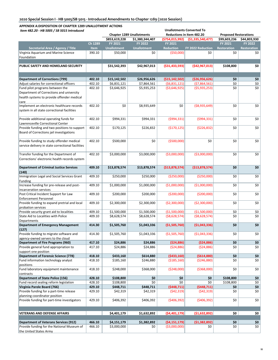| צווטוזאר אוםוועט כסבב אחדושית של האחרונטיזונט אוטוונט אוס<br>Item 482.20 - HB 5005 / SB 5015 Introduced |             | <b>Chapter 1289 Unallotments</b> |                    |                    | <b>Unallotments Converted To</b><br>Reductions in Item 482.20 | <b>Proposed Restorations</b> |                    |
|---------------------------------------------------------------------------------------------------------|-------------|----------------------------------|--------------------|--------------------|---------------------------------------------------------------|------------------------------|--------------------|
|                                                                                                         |             | \$853,619,228                    | \$1,380,344,407    | (\$754,015,992)    | (51, 335, 540, 477)                                           | \$99,603,236                 | \$44,803,930       |
|                                                                                                         | Ch 1289     | FY 2021                          | <b>FY 2022</b>     | <b>FY 2021</b>     |                                                               | FY 2021                      | <b>FY 2022</b>     |
| Secretarial Area / Agency / Title                                                                       | <b>Item</b> | <b>Unallotment</b>               | <b>Unallotment</b> | <b>Reduction</b>   | <b>FY 2022 Reduction</b>                                      | <b>Restoration</b>           | <b>Restoration</b> |
| Virginia Aquarium and Marine Science                                                                    | 390.10      | \$50,000                         | \$0                | ( \$50,000]        | \$0                                                           | \$0                          | \$0                |
| Foundation                                                                                              |             |                                  |                    |                    |                                                               |                              |                    |
|                                                                                                         |             |                                  |                    |                    |                                                               |                              |                    |
| PUBLIC SAFETY AND HOMELAND SECURITY                                                                     |             | \$31,542,393                     | \$42,967,013       | ( \$31,433,593)    | (\$42,967,013)                                                | \$108,800                    | \$0                |
|                                                                                                         |             |                                  |                    |                    |                                                               |                              |                    |
|                                                                                                         |             |                                  |                    |                    |                                                               |                              |                    |
| <b>Department of Corrections (799)</b>                                                                  | 402.10      | \$15,142,502                     | \$26,956,626       | ( \$15, 142, 502)  | (\$26,956,626)                                                | \$0                          | \$0                |
| Adjust salaries for correctional officers                                                               | 402.10      | \$6,831,121                      | \$7,864,561        | (56,831,121)       | (57,864,561)                                                  | \$0                          | \$0                |
| Fund pilot programs between the                                                                         | 402.10      | \$3,646,925                      | \$5,935,253        | ( \$3,646,925)     | (55, 935, 253)                                                | \$0                          | \$0                |
| Department of Corrections and university                                                                |             |                                  |                    |                    |                                                               |                              |                    |
| health systems to provide offender medical                                                              |             |                                  |                    |                    |                                                               |                              |                    |
| care                                                                                                    |             |                                  |                    |                    |                                                               |                              |                    |
| Implement an electronic healthcare records                                                              | 402.10      | \$0                              | \$8,935,649        | \$0                | ( \$8,935,649)                                                | \$0                          | \$0                |
| system in all state correctional facilities                                                             |             |                                  |                    |                    |                                                               |                              |                    |
|                                                                                                         |             |                                  |                    |                    |                                                               |                              |                    |
| Provide additional operating funds for                                                                  | 402.10      | \$994,331                        | \$994,331          | (5994, 331)        | (5994, 331)                                                   | \$0                          | \$0                |
| Lawrenceville Correctional Center                                                                       |             |                                  |                    |                    |                                                               |                              |                    |
| Provide funding and two positions to support                                                            | 402.10      | \$170,125                        | \$226,832          | (5170, 125)        | ( \$226, 832)                                                 | \$0                          | \$0                |
| Board of Corrections jail investigations                                                                |             |                                  |                    |                    |                                                               |                              |                    |
|                                                                                                         |             |                                  |                    |                    |                                                               |                              |                    |
| Provide funding to study offender medical                                                               | 402.10      | \$500,000                        | \$0                | ( \$500,000)       | \$0                                                           | \$0                          | \$0                |
| service delivery in state correctional facilities                                                       |             |                                  |                    |                    |                                                               |                              |                    |
|                                                                                                         |             |                                  |                    |                    |                                                               |                              |                    |
| Transfer funding for the Department of                                                                  | 402.10      | \$3,000,000                      | \$3,000,000        | ( \$3,000,000)     | ( \$3,000,000)                                                | \$0                          | \$0                |
| Corrections' electronic health records system                                                           |             |                                  |                    |                    |                                                               |                              |                    |
|                                                                                                         |             |                                  |                    |                    |                                                               |                              |                    |
| <b>Department of Criminal Justice Services</b>                                                          | 409.10      | \$13,878,574                     | \$13,878,574       | ( \$13,878,574]    | ( \$13,878,574)                                               | \$0                          | \$0                |
| (140)                                                                                                   |             |                                  |                    |                    |                                                               |                              |                    |
| Immigration Legal and Social Services Grant                                                             | 409.10      | \$250,000                        | \$250,000          | ( \$250,000)       | ( \$250,000]                                                  | \$0                          | \$0                |
| Funding<br>Increase funding for pre-release and post-                                                   | 409.10      | \$1,000,000                      | \$1,000,000        | ( \$1,000,000)     | (\$1,000,000)                                                 | \$0                          | \$0                |
|                                                                                                         |             |                                  |                    |                    |                                                               |                              |                    |
| incarceration services<br>Post Critical Incident Support for Law                                        | 409.10      | \$200,000                        | \$200,000          | ( \$200,000]       | ( \$200,000]                                                  | \$0                          | \$0                |
| <b>Enforcement Personnel</b>                                                                            |             |                                  |                    |                    |                                                               |                              |                    |
| Provide funding to expand pretrial and local                                                            | 409.10      | \$2,300,000                      | \$2,300,000        | ( \$2,300,000)     | ( \$2,300,000)                                                | \$0                          | \$0                |
| probation services                                                                                      |             |                                  |                    |                    |                                                               |                              |                    |
| Provide security grant aid to localities                                                                | 409.10      | \$1,500,000                      | \$1,500,000        | ( \$1,500,000)     | (\$1,500,000)                                                 | \$0                          | \$0                |
| State Aid to Localities with Police                                                                     | 409.10      | \$8,628,574                      | \$8,628,574        | ( \$8,628,574)     | ( \$8,628,574)                                                | \$0                          | \$0                |
| Departments                                                                                             |             |                                  |                    |                    |                                                               |                              |                    |
| <b>Department of Emergency Management</b>                                                               | 414.30      | \$1,505,760                      | \$1,043,336        | ( \$1,505,760)     | (51,043,336)                                                  | \$0                          | \$0                |
| (127)                                                                                                   |             |                                  |                    |                    |                                                               |                              |                    |
| Provide funding to migrate software and                                                                 | 414.30      | \$1,505,760                      | \$1,043,336        | (\$1,505,760)      | ( \$1,043,336)                                                | \$0                          | \$0                |
| agency-owned servers to the cloud                                                                       |             |                                  |                    |                    |                                                               |                              |                    |
| Department of Fire Programs (960)                                                                       | 417.10      | \$24,886                         | \$24,886           | (524, 886)         | ( \$24, 886)                                                  | \$0                          | \$0                |
| Provide general fund appropriation to                                                                   | 417.10      | \$24,886                         | \$24,886           | (524, 886)         | (524, 886)                                                    | \$0                          | \$0                |
| support one position                                                                                    |             |                                  |                    |                    |                                                               |                              |                    |
| <b>Department of Forensic Science (778)</b>                                                             | 418.10      | \$433,160                        | \$614,880          | (5433,160)         | (5614,880)                                                    | \$0                          | \$0                |
| Fund information technology analyst                                                                     | 418.10      | \$185,160                        | \$246,880          | ( \$185, 160)      | ( \$246, 880)                                                 | \$0                          | \$0                |
| positions                                                                                               |             |                                  |                    |                    |                                                               |                              |                    |
| Fund laboratory equipment maintenance                                                                   | 418.10      | \$248,000                        | \$368,000          | ( \$248,000)       | ( \$368,000)                                                  | \$0                          | \$0                |
| contracts                                                                                               |             |                                  |                    |                    |                                                               |                              |                    |
| <b>Department of State Police (156)</b>                                                                 | 428.10      | \$108,800                        | \$0                | \$0                | \$0                                                           | \$108,800                    | \$0                |
| Fund record sealing reform legislation                                                                  | 428.10      | \$108,800                        | \$0                | \$0<br>(5448, 711) | \$0                                                           | \$108,800                    | \$0                |
| Virginia Parole Board (766)                                                                             | 429.10      | \$448,711                        | \$448,711          |                    | (5448,711)                                                    | \$0                          | \$0                |
| Provide funding for a part-time release                                                                 | 429.10      | \$42,319                         | \$42,319           | (542, 319)         | (542, 319)                                                    | \$0                          | \$0                |
| planning coordinator position                                                                           |             |                                  |                    |                    |                                                               |                              |                    |
| Provide funding for part-time investigators                                                             | 429.10      | \$406,392                        | \$406,392          | ( \$406, 392)      | ( \$406, 392)                                                 | \$0                          | \$0                |
|                                                                                                         |             |                                  |                    |                    |                                                               |                              |                    |
| <b>VETERANS AND DEFENSE AFFAIRS</b>                                                                     |             | \$4,401,179                      | \$1,632,892        | ( \$4,401,179]     | (\$1,632,892)                                                 | \$0                          | \$0                |
|                                                                                                         |             |                                  |                    |                    |                                                               |                              |                    |
| <b>Department of Veterans Services (912)</b>                                                            | 466.10      | \$4,151,179                      | \$1,382,892        | (54, 151, 179)     | (51, 382, 892)                                                | \$0                          | \$0                |
| Provide funding for the National Museum of                                                              | 466.10      | \$3,000,000                      | \$0                | ( \$3,000,000)     | \$0                                                           | \$0                          | \$0                |
| the United States Army                                                                                  |             |                                  |                    |                    |                                                               |                              |                    |